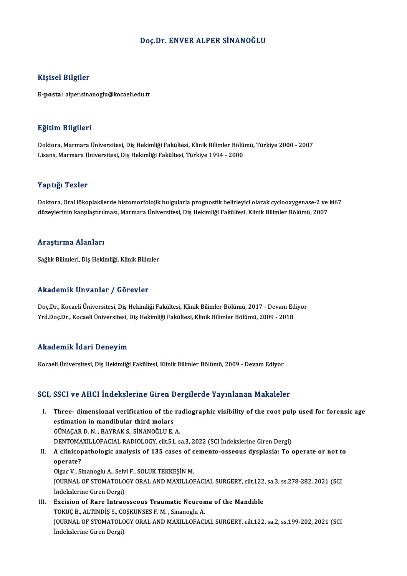#### Doç.Dr. ENVER ALPER SİNANOĞLU

#### Kişisel Bilgiler

E-posta: alper.sinanoglu@kocaeli.edu.tr

#### Eğitim Bilgileri

**Eğitim Bilgileri**<br>Doktora, Marmara Üniversitesi, Diş Hekimliği Fakültesi, Klinik Bilimler Bölümü, Türkiye 2000 - 2007<br>Lisans Marmara Üniversitesi, Diş Hekimliği Fakültesi, Türkiye 1994, -2000 Lisansın Daryasora<br>Doktora, Marmara Üniversitesi, Diş Hekimliği Fakültesi, Klinik Bilimler Bölü:<br>Lisans, Marmara Üniversitesi, Diş Hekimliği Fakültesi, Türkiye 1994 - 2000 Lisans, Marmara Üniversitesi, Diş Hekimliği Fakültesi, Türkiye 1994 - 2000<br>Yaptığı Tezler

Doktora, Oral lökoplakilerde histomorfolojik bulgularla prognostik belirleyici olarak cyclooxygenase-2 ve ki67 düzeylerinin karşılaştırılması, Marmara Üniversitesi, Diş Hekimliği Fakültesi, Klinik Bilimler Bölümü, 2007

#### Araştırma Alanları

Sağlık Bilimleri, Diş Hekimliği, Klinik Bilimler

#### Akademik Unvanlar / Görevler

Akademik Unvanlar / Görevler<br>Doç.Dr., Kocaeli Üniversitesi, Diş Hekimliği Fakültesi, Klinik Bilimler Bölümü, 2017 - Devam Ediyor<br>Yrd Doc.Dr., Kocaeli Üniversitesi, Diş Hekimliği Fakültesi, Klinik Bilimler Bölümü, 2009, 201 Yrkuu SIII'n SI Vurilar " / "dör svisi"<br>Doç.Dr., Kocaeli Üniversitesi, Diş Hekimliği Fakültesi, Klinik Bilimler Bölümü, 2017 - Devam Ed<br>Yrd.Doç.Dr., Kocaeli Üniversitesi, Diş Hekimliği Fakültesi, Klinik Bilimler Bölümü, 20 Yrd.Doç.Dr., Kocaeli Üniversitesi, Diş Hekimliği Fakültesi, Klinik Bilimler Bölümü, 2009 - 2018<br>Akademik İdari Deneyim

Kocaeli Üniversitesi, Diş Hekimliği Fakültesi, Klinik Bilimler Bölümü, 2009 - Devam Ediyor

#### SCI, SSCI ve AHCI İndekslerine Giren Dergilerde Yayınlanan Makaleler

I. Three- dimensional verification of the radiographic visibility of the root pulp used for forensic age esserve inner indensioning an energy<br>Three-dimensional verification of the<br>cimacapp N BAVBAKS SINANOČULE Three- dimensional verification of the ra<br>estimation in mandibular third molars<br>GÜNAÇAR D.N., BAYRAK S., SİNANOĞLU E.A.<br>DENTOMAXILLOFACIAL PADIQLOCY silt 51.6 estimation in mandibular third molars<br>GÜNAÇAR D. N. , BAYRAK S., SİNANOĞLU E. A.<br>DENTOMAXILLOFACIAL RADIOLOGY, cilt.51, sa.3, 2022 (SCI İndekslerine Giren Dergi)<br>A elinisanatbalagia analygis of 125 sassa of samanta assaays GÜNAÇAR D. N. , BAYRAK S., SİNANOĞLU E. A.<br>DENTOMAXILLOFACIAL RADIOLOGY, cilt.51, sa.3, 2022 (SCI İndekslerine Giren Dergi)<br>II. A clinicopathologic analysis of 135 cases of cemento-osseous dysplasia: To operate or not t DENTOMA<br>A clinico<sub>l</sub><br>operate?<br>Olsos V. Si

A clinicopathologic analysis of 135 cases of c<br>operate?<br>Olgac V., Sinanoglu A., Selvi F., SOLUK TEKKEŞİN M.<br>JOUPNAL OE STOMATOLOCY ORAL AND MAYILLOL JOURNAL OF STOMATOLOGY ORAL AND MAXILLOFACIAL SURGERY, cilt.122, sa.3, ss.278-282, 2021 (SCI Indekslerine Giren Dergi) Olgac V., Sinanoglu A., Selv<br>JOURNAL OF STOMATOLO<br>İndekslerine Giren Dergi)<br>Fugision of Bana Intrea

III. Excision of Rare Intraosseous Traumatic Neuroma of the Mandible İndekslerine Giren Dergi)<br>Excision of Rare Intraosseous Traumatic Neuron<br>TOKUÇ B., ALTINDİŞ S., COŞKUNSES F. M. , Sinanoglu A.<br>JOUPNAL OF STOMATOLOCY OPAL AND MAYU LOFACI JOURNAL OF STOMATOLOGY ORAL AND MAXILLOFACIAL SURGERY, cilt.122, sa.2, ss.199-202, 2021 (SCI Indekslerine Giren Dergi) TOKUÇ B., ALTINDİŞ S., CO<br>JOURNAL OF STOMATOLO<br>İndekslerine Giren Dergi)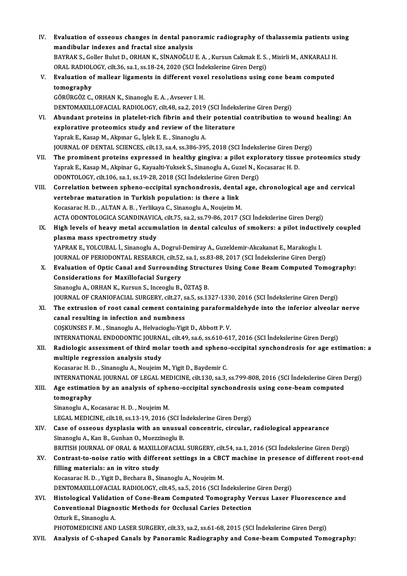| IV.   | Evaluation of osseous changes in dental panoramic radiography of thalassemia patients using              |
|-------|----------------------------------------------------------------------------------------------------------|
|       | mandibular indexes and fractal size analysis                                                             |
|       | BAYRAK S., Goller Bulut D., ORHAN K., SİNANOĞLU E. A., Kursun Cakmak E. S., Misirli M., ANKARALI H.      |
|       | ORAL RADIOLOGY, cilt.36, sa.1, ss.18-24, 2020 (SCI İndekslerine Giren Dergi)                             |
| V.    | Evaluation of mallear ligaments in different voxel resolutions using cone beam computed                  |
|       | tomography                                                                                               |
|       | GÖRÜRGÖZ C., ORHAN K., Sinanoglu E. A., Avsever I. H.                                                    |
|       | DENTOMAXILLOFACIAL RADIOLOGY, cilt.48, sa.2, 2019 (SCI İndekslerine Giren Dergi)                         |
| VI.   | Abundant proteins in platelet-rich fibrin and their potential contribution to wound healing: An          |
|       | explorative proteomics study and review of the literature                                                |
|       | Yaprak E., Kasap M., Akpınar G., İşlek E. E., Sinanoglu A.                                               |
|       | JOURNAL OF DENTAL SCIENCES, cilt.13, sa.4, ss.386-395, 2018 (SCI Indekslerine Giren Dergi)               |
| VII.  | The prominent proteins expressed in healthy gingiva: a pilot exploratory tissue proteomics study         |
|       | Yaprak E., Kasap M., Akpinar G., Kayaalti-Yuksek S., Sinanoglu A., Guzel N., Kocasarac H. D.             |
|       | ODONTOLOGY, cilt.106, sa.1, ss.19-28, 2018 (SCI Indekslerine Giren Dergi)                                |
| VIII. | Correlation between spheno-occipital synchondrosis, dental age, chronological age and cervical           |
|       | vertebrae maturation in Turkish population: is there a link                                              |
|       | Kocasarac H. D., ALTAN A. B., Yerlikaya C., Sinanoglu A., Noujeim M.                                     |
|       | ACTA ODONTOLOGICA SCANDINAVICA, cilt.75, sa.2, ss.79-86, 2017 (SCI İndekslerine Giren Dergi)             |
| IX.   | High levels of heavy metal accumulation in dental calculus of smokers: a pilot inductively coupled       |
|       | plasma mass spectrometry study                                                                           |
|       | YAPRAK E., YOLCUBAL İ., Sinanoglu A., Dogrul-Demiray A., Guzeldemir-Akcakanat E., Marakoglu I.           |
|       | JOURNAL OF PERIODONTAL RESEARCH, cilt.52, sa.1, ss.83-88, 2017 (SCI İndekslerine Giren Dergi)            |
| X.    | Evaluation of Optic Canal and Surrounding Structures Using Cone Beam Computed Tomography:                |
|       | <b>Considerations for Maxillofacial Surgery</b>                                                          |
|       | Sinanoglu A., ORHAN K., Kursun S., Inceoglu B., ÖZTAŞ B.                                                 |
|       | JOURNAL OF CRANIOFACIAL SURGERY, cilt.27, sa.5, ss.1327-1330, 2016 (SCI Indekslerine Giren Dergi)        |
| XI.   | The extrusion of root canal cement containing paraformaldehyde into the inferior alveolar nerve          |
|       | canal resulting in infection and numbness                                                                |
|       | COSKUNSES F. M., Sinanoglu A., Helvacioglu-Yigit D., Abbott P. V.                                        |
|       | INTERNATIONAL ENDODONTIC JOURNAL, cilt.49, sa.6, ss.610-617, 2016 (SCI Indekslerine Giren Dergi)         |
| XII.  | Radiologic assessment of third molar tooth and spheno-occipital synchondrosis for age estimation: a      |
|       | multiple regression analysis study                                                                       |
|       | Kocasarac H. D., Sinanoglu A., Noujeim M., Yigit D., Baydemir C.                                         |
|       | INTERNATIONAL JOURNAL OF LEGAL MEDICINE, cilt.130, sa.3, ss.799-808, 2016 (SCI İndekslerine Giren Dergi) |
| XIII. | Age estimation by an analysis of spheno-occipital synchondrosis using cone-beam computed                 |
|       | tomography                                                                                               |
|       | Sinanoglu A., Kocasarac H. D., Noujeim M.                                                                |
|       | LEGAL MEDICINE, cilt.18, ss.13-19, 2016 (SCI İndekslerine Giren Dergi)                                   |
| XIV.  | Case of osseous dysplasia with an unusual concentric, circular, radiological appearance                  |
|       | Sinanoglu A., Kan B., Gunhan O., Muezzinoglu B.                                                          |
|       | BRITISH JOURNAL OF ORAL & MAXILLOFACIAL SURGERY, cilt.54, sa.1, 2016 (SCI İndekslerine Giren Dergi)      |
| XV.   | Contrast-to-noise ratio with different settings in a CBCT machine in presence of different root-end      |
|       | filling materials: an in vitro study                                                                     |
|       | Kocasarac H. D., Yigit D., Bechara B., Sinanoglu A., Noujeim M.                                          |
|       | DENTOMAXILLOFACIAL RADIOLOGY, cilt.45, sa.5, 2016 (SCI Indekslerine Giren Dergi)                         |
| XVI.  | Histological Validation of Cone-Beam Computed Tomography Versus Laser Fluorescence and                   |
|       | <b>Conventional Diagnostic Methods for Occlusal Caries Detection</b>                                     |
|       | Ozturk E., Sinanoglu A.                                                                                  |
|       | PHOTOMEDICINE AND LASER SURGERY, cilt.33, sa.2, ss.61-68, 2015 (SCI Indekslerine Giren Dergi)            |
| XVII. | Analysis of C-shaped Canals by Panoramic Radiography and Cone-beam Computed Tomography:                  |
|       |                                                                                                          |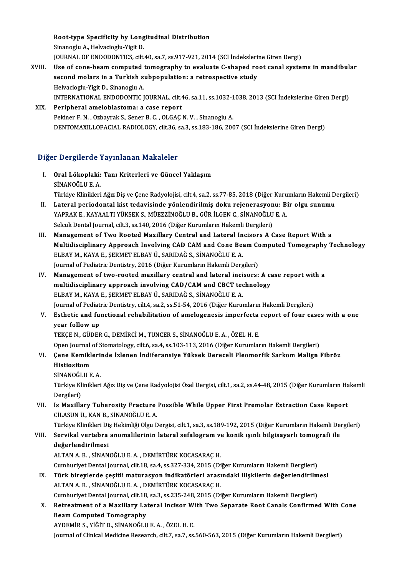Root-type Specificity by Longitudinal Distribution Root-type Specificity by Long<br>Sinanoglu A., Helvacioglu-Yigit D.<br>JOUPMAL OF ENDODONTICS silt Root-type Specificity by Longitudinal Distribution<br>Sinanoglu A., Helvacioglu-Yigit D.<br>JOURNAL OF ENDODONTICS, cilt.40, sa.7, ss.917-921, 2014 (SCI İndekslerine Giren Dergi)<br>Hae of sana baam samnutad tamasınanlu ta evaluate Sinanoglu A., Helvacioglu-Yigit D.<br>JOURNAL OF ENDODONTICS, cilt.40, sa.7, ss.917-921, 2014 (SCI Indekslerine Giren Dergi)<br>XVIII. Use of cone-beam computed tomography to evaluate C-shaped root canal systems in mandibular<br>co JOURNAL OF ENDODONTICS, cilt.40, sa.7, ss.917-921, 2014 (SCI İndeksleri<br>Use of cone-beam computed tomography to evaluate C-shaped ro<br>second molars in a Turkish subpopulation: a retrospective study<br>Helvesiasly Visit D. Sina

- Use of cone-beam computed<br>second molars in a Turkish s<br>Helvacioglu-Yigit D., Sinanoglu A.<br>INTERNATIONAL ENDODONTIC I second molars in a Turkish subpopulation: a retrospective study<br>Helvacioglu-Yigit D., Sinanoglu A.<br>INTERNATIONAL ENDODONTIC JOURNAL, cilt.46, sa.11, ss.1032-1038, 2013 (SCI İndekslerine Giren Dergi)<br>Perinberal ameleblastem Helvacioglu-Yigit D., Sinanoglu A.<br>INTERNATIONAL ENDODONTIC JOURNAL, cilt.46, sa.11, ss.1032-1<br>XIX. Peripheral ameloblastoma: a case report<br>Pekiner F. N. . Ozbavrak S., Sener B. C. . OLGAC N. V. . Sinanoglu A.
	- INTERNATIONAL ENDODONTIC JOURNAL, cilt.46, sa.11, ss.1032-1<br>Peripheral ameloblastoma: a case report<br>Pekiner F. N. , Ozbayrak S., Sener B. C. , OLGAÇ N. V. , Sinanoglu A.<br>DENTOMAYU LOEACIAL BADIOLOCY, silt.26, sa 2, ss.192, DENTOMAXILLOFACIAL RADIOLOGY, cilt.36, sa.3, ss.183-186, 2007 (SCI İndekslerine Giren Dergi)

## Diğer Dergilerde Yayınlanan Makaleler

Iğer Dergilerde Yayınlanan Makaleler<br>I. Oral Lökoplaki: Tanı Kriterleri ve Güncel Yaklaşım<br>SİNANOČLUE A r Bergherde<br>Oral Lökoplaki:<br>SİNANOĞLU E. A.<br>Türkiye Klinikleri Oral Lökoplaki: Tanı Kriterleri ve Güncel Yaklaşım<br>SİNANOĞLU E. A.<br>Türkiye Klinikleri Ağız Diş ve Çene Radyolojisi, cilt.4, sa.2, ss.77-85, 2018 (Diğer Kurumların Hakemli Dergileri) SİNANOĞLU E. A.<br>Türkiye Klinikleri Ağız Diş ve Çene Radyolojisi, cilt.4, sa.2, ss.77-85, 2018 (Diğer Kurumların Hakemli D<br>II. Lateral periodontal kist tedavisinde yönlendirilmiş doku rejenerasyonu: Bir olgu sunumu<br>YAPR

- Türkiye Klinikleri Ağız Diş ve Çene Radyolojisi, cilt.4, sa.2, ss.77-85, 2018 (Diğer Kuru<br>Lateral periodontal kist tedavisinde yönlendirilmiş doku rejenerasyonu: Bi<br>YAPRAK E., KAYAALTI YÜKSEK S., MÜEZZİNOĞLU B., GÜR İLGEN Lateral periodontal kist tedavisinde yönlendirilmiş doku rejenerasyon<br>YAPRAK E., KAYAALTI YÜKSEK S., MÜEZZİNOĞLU B., GÜR İLGEN C., SİNANOĞLU<br>Selcuk Dental Journal, cilt.3, ss.140, 2016 (Diğer Kurumların Hakemli Dergileri)<br> YAPRAK E., KAYAALTI YÜKSEK S., MÜEZZİNOĞLU B., GÜR İLGEN C., SİNANOĞLU E. A.<br>Selcuk Dental Journal, cilt.3, ss.140, 2016 (Diğer Kurumların Hakemli Dergileri)<br>III. Management of Two Rooted Maxillary Central and Lateral Inci
- Selcuk Dental Journal, cilt.3, ss.140, 2016 (Diğer Kurumların Hakemli Dergileri)<br>Management of Two Rooted Maxillary Central and Lateral Incisors A Case Report With a<br>Multidisciplinary Approach Involving CAD CAM and Cone Be Management of Two Rooted Maxillary Central and Lateral In<br>Multidisciplinary Approach Involving CAD CAM and Cone Be:<br>ELBAY M., KAYA E., ŞERMET ELBAY Ü., SARIDAĞ S., SİNANOĞLU E. A.<br>Journal of Bodiatric Dontistry, 2016 (Dižo Multidisciplinary Approach Involving CAD CAM and Cone Beam Contained Action of the Search Cone of the Search S<br>Journal of Pediatric Dentistry, 2016 (Diğer Kurumların Hakemli Dergileri)<br>Managamant of tive roated maxilları: ELBAY M., KAYA E., ŞERMET ELBAY Ü., SARIDAĞ S., SİNANOĞLU E. A.<br>Journal of Pediatric Dentistry, 2016 (Diğer Kurumların Hakemli Dergileri)<br>IV. Management of two-rooted maxillary central and lateral incisors: A case repo
- multidisciplinary approach involving CAD/CAM and CBCT technology ELBAYM.,KAYAE.,ŞERMETELBAYÜ.,SARIDAĞS.,SİNANOĞLUE.A. Journal of Pediatric Dentistry, cilt.4, sa.2, ss.51-54, 2016 (Diğer Kurumların Hakemli Dergileri)
- V. Esthetic and functional rehabilitation of amelogenesis imperfecta report of four cases with a one year follow up

TEKÇEN.,GÜDERG.,DEMİRCİM.,TUNCERS.,SİNANOĞLUE.A. ,ÖZELH.E.

Open Journal of Stomatology, cilt.6, sa.4, ss.103-113, 2016 (Diğer Kurumların Hakemli Dergileri)

# TEKÇE N., GÜDER G., DEMİRCİ M., TUNCER S., SİNANOĞLU E. A. , ÖZEL H. E.<br>Open Journal of Stomatology, cilt.6, sa.4, ss.103-113, 2016 (Diğer Kurumların Hakemli Dergileri)<br>VI. Çene Kemiklerinde İzlenen İndiferansiye Yüksek Open Journal<br><mark>Çene Kemikl</mark><br>Histiositom<br>SiNANOČLU E Çene Kemikleri<br>Histiositom<br>SİNANOĞLU E. A.<br>Türkiye Klinikleri

Histiositom<br>SİNANOĞLU E. A.<br>Türkiye Klinikleri Ağız Diş ve Çene Radyolojisi Özel Dergisi, cilt.1, sa.2, ss.44-48, 2015 (Diğer Kurumların Hakemli SİNANOĞL<br>Türkiye Kl<br>Dergileri)<br>Is Maxilla Türkiye Klinikleri Ağız Diş ve Çene Radyolojisi Özel Dergisi, cilt.1, sa.2, ss.44-48, 2015 (Diğer Kurumların Ha<br>Dergileri)<br>VII. Is Maxillary Tuberosity Fracture Possible While Upper First Premolar Extraction Case Report<br>CU

Dergileri)<br>VII. Is Maxillary Tuberosity Fracture Possible While Upper First Premolar Extraction Case Report<br>CİLASUN Ü., KAN B., SİNANOĞLU E. A. Is Maxillary Tuberosity Fracture Possible While Upper First Premolar Extraction Case Report<br>CİLASUN Ü., KAN B., SİNANOĞLU E. A.<br>Türkiye Klinikleri Diş Hekimliği Olgu Dergisi, cilt.1, sa.3, ss.189-192, 2015 (Diğer Kurumları

CİLASUN Ü., KAN B., SİNANOĞLU E. A.<br>Türkiye Klinikleri Diş Hekimliği Olgu Dergisi, cilt.1, sa.3, ss.189-192, 2015 (Diğer Kurumların Hakemli Deı<br>VIII. Servikal vertebra anomalilerinin lateral sefalogram ve konik ışınlı Türkiye Klinikleri Di<br>Servikal vertebra<br>değerlendirilmesi<br>ALTANA B. SİNAN VIII. Servikal vertebra anomalilerinin lateral sefalogram ve konik ışınlı bilgisayarlı tomografi ile<br>değerlendirilmesi<br>ALTAN A. B. , SİNANOĞLU E. A. , DEMİRTÜRK KOCASARAÇ H.

Cumhuriyet Dental Journal, cilt.18, sa.4, ss.327-334, 2015 (Diğer Kurumların Hakemli Dergileri) ALTAN A. B. , SİNANOĞLU E. A. , DEMİRTÜRK KOCASARAÇ H.<br>Cumhuriyet Dental Journal, cilt.18, sa.4, ss.327-334, 2015 (Diğer Kurumların Hakemli Dergileri)<br>IX. Türk bireylerde çeşitli maturasyon indikatörleri arasındaki ilişkil

- Cumhuriyet Dental Journal, cilt.18, sa.4, ss.327-334, 2015 (Di<br>Türk bireylerde çeşitli maturasyon indikatörleri arası<br>ALTAN A. B. , SİNANOĞLU E. A. , DEMİRTÜRK KOCASARAÇ H.<br>Cumburiyet Dantal Journal, silt.18, ss.3, ss.235, Türk bireylerde çeşitli maturasyon indikatörleri arasındaki ilişkilerin değerlendirilm<br>ALTAN A. B. , SİNANOĞLU E. A. , DEMİRTÜRK KOCASARAÇ H.<br>Cumhuriyet Dental Journal, cilt.18, sa.3, ss.235-248, 2015 (Diğer Kurumların Hak
- ALTAN A. B. , SİNANOĞLU E. A. , DEMİRTÜRK KOCASARAÇ H.<br>Cumhuriyet Dental Journal, cilt.18, sa.3, ss.235-248, 2015 (Diğer Kurumların Hakemli Dergileri)<br>X. Retreatment of a Maxillary Lateral Incisor With Two Separate Roo Cumhuriyet Dental Journal, cilt.18, sa.3, ss.235-248, 2015 (Diğer Kurumların Hakemli Dergileri)<br>Retreatment of a Maxillary Lateral Incisor With Two Separate Root Canals Confirme<br>Beam Computed Tomography<br>AYDEMİR S., YİĞİT D Retreatment of a Maxillary Lateral Incisor Wi<br>Beam Computed Tomography<br>AYDEMİR S., YİĞİT D., SİNANOĞLU E. A. , ÖZEL H. E.<br>Journal of Clinical Madigine Bossarsh, silt 7, 82,7, 83

Journal of Clinical Medicine Research, cilt.7, sa.7, ss.560-563, 2015 (Diğer Kurumların Hakemli Dergileri)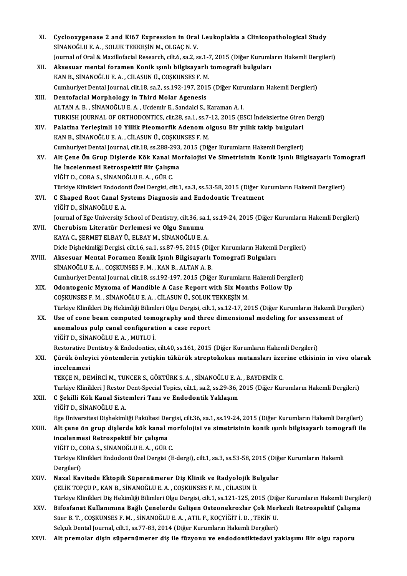| XI.    | Cyclooxygenase 2 and Ki67 Expression in Oral Leukoplakia a Clinicopathological Study                                   |
|--------|------------------------------------------------------------------------------------------------------------------------|
|        | SİNANOĞLU E. A., SOLUK TEKKEŞİN M., OLGAÇ N. V.                                                                        |
|        | Journal of Oral & Maxillofacial Research, cilt.6, sa.2, ss.1-7, 2015 (Diğer Kurumların Hakemli Dergileri)              |
| XII.   | Aksesuar mental foramen Konik ışınlı bilgisayarlı tomografi bulguları                                                  |
|        | KAN B., SİNANOĞLU E. A., CİLASUN Ü., COŞKUNSES F. M.                                                                   |
|        | Cumhuriyet Dental Journal, cilt.18, sa.2, ss.192-197, 2015 (Diğer Kurumların Hakemli Dergileri)                        |
| XIII.  | Dentofacial Morphology in Third Molar Agenesis                                                                         |
|        | ALTAN A. B., SİNANOĞLU E. A., Ucdemir E., Sandalci S., Karaman A. I.                                                   |
|        | TURKISH JOURNAL OF ORTHODONTICS, cilt.28, sa.1, ss.7-12, 2015 (ESCI İndekslerine Giren Dergi)                          |
| XIV.   | Palatina Yerleşimli 10 Yillik Pleomorfik Adenom olgusu Bir yıllık takip bulgulari                                      |
|        | KAN B., SİNANOĞLU E. A., CİLASUN Ü., COŞKUNSES F. M.                                                                   |
|        | Cumhuriyet Dental Journal, cilt.18, ss.288-293, 2015 (Diğer Kurumların Hakemli Dergileri)                              |
| XV.    | Alt Çene Ön Grup Dişlerde Kök Kanal Morfolojisi Ve Simetrisinin Konik Işınlı Bilgisayarlı Tomografi                    |
|        | İle İncelenmesi Retrospektif Bir Çalışma                                                                               |
|        | YİĞİT D., CORA S., SİNANOĞLU E. A., GÜR C.                                                                             |
|        | Türkiye Klinikleri Endodonti Özel Dergisi, cilt.1, sa.3, ss.53-58, 2015 (Diğer Kurumların Hakemli Dergileri)           |
| XVI.   | C Shaped Root Canal Systems Diagnosis and Endodontic Treatment                                                         |
|        | YİĞİT D., SİNANOĞLU E. A.                                                                                              |
|        | Journal of Ege University School of Dentistry, cilt.36, sa.1, ss.19-24, 2015 (Diğer Kurumların Hakemli Dergileri)      |
| XVII.  | Cherubism Literatür Derlemesi ve Olgu Sunumu                                                                           |
|        | KAYA C., ŞERMET ELBAY Ü., ELBAY M., SİNANOĞLU E. A.                                                                    |
|        | Dicle Dişhekimliği Dergisi, cilt.16, sa.1, ss.87-95, 2015 (Diğer Kurumların Hakemli Dergileri)                         |
| XVIII. | Aksesuar Mental Foramen Konik Işınlı Bilgisayarlı Tomografi Bulguları                                                  |
|        | SİNANOĞLU E.A., COŞKUNSES F.M., KAN B., ALTAN A.B.                                                                     |
|        | Cumhuriyet Dental Journal, cilt.18, ss.192-197, 2015 (Diğer Kurumların Hakemli Dergileri)                              |
| XIX.   | Odontogenic Myxoma of Mandible A Case Report with Six Months Follow Up                                                 |
|        | COSKUNSES F. M., SİNANOĞLU E. A., CİLASUN Ü., SOLUK TEKKEŞİN M.                                                        |
|        | Türkiye Klinikleri Diş Hekimliği Bilimleri Olgu Dergisi, cilt.1, ss.12-17, 2015 (Diğer Kurumların Hakemli Dergileri)   |
| XX.    | Use of cone beam computed tomography and three dimensional modeling for assessment of                                  |
|        | anomalous pulp canal configuration a case report                                                                       |
|        | YİĞİT D., SİNANOĞLU E. A. , MUTLU İ.                                                                                   |
|        | Restorative Dentistry & Endodontics, cilt.40, ss.161, 2015 (Diğer Kurumların Hakemli Dergileri)                        |
| XXI.   | Çürük önleyici yöntemlerin yetişkin tükürük streptokokus mutansları üzerine etkisinin in vivo olarak                   |
|        | incelenmesi                                                                                                            |
|        | TEKÇE N., DEMİRCİ M., TUNCER S., GÖKTÜRK S. A., SİNANOĞLU E. A., BAYDEMİR C.                                           |
|        | Turkiye Klinikleri J Restor Dent-Special Topics, cilt.1, sa.2, ss.29-36, 2015 (Diğer Kurumların Hakemli Dergileri)     |
| XXII.  | C Şekilli Kök Kanal Sistemleri Tanı ve Endodontik Yaklaşım                                                             |
|        | YİĞİT D., SİNANOĞLU E. A.                                                                                              |
|        | Ege Üniversitesi Dişhekimliği Fakültesi Dergisi, cilt.36, sa.1, ss.19-24, 2015 (Diğer Kurumların Hakemli Dergileri)    |
| XXIII. | Alt çene ön grup dişlerde kök kanal morfolojisi ve simetrisinin konik ışınlı bilgisayarlı tomografi ile                |
|        | incelenmesi Retrospektif bir çalışma                                                                                   |
|        | YİĞİT D., CORA S., SİNANOĞLU E. A., GÜR C.                                                                             |
|        | Türkiye Klinikleri Endodonti Özel Dergisi (E-dergi), cilt.1, sa.3, ss.53-58, 2015 (Diğer Kurumların Hakemli            |
|        | Dergileri)                                                                                                             |
| XXIV.  | Nazal Kavitede Ektopik Süpernümerer Diş Klinik ve Radyolojik Bulgular                                                  |
|        | ÇELİK TOPÇU P., KAN B., SİNANOĞLU E. A., COŞKUNSES F. M., CİLASUN Ü.                                                   |
|        | Türkiye Klinikleri Diş Hekimliği Bilimleri Olgu Dergisi, cilt.1, ss.121-125, 2015 (Diğer Kurumların Hakemli Dergileri) |
| XXV.   | Bifosfanat Kullanımına Bağlı Çenelerde Gelişen Osteonekrozlar Çok Merkezli Retrospektif Çalışma                        |
|        | Süer B. T., COŞKUNSES F. M., SİNANOĞLU E. A., ATIL F., KOÇYİĞİT İ. D., TEKİN U.                                        |
|        | Selçuk Dental Journal, cilt.1, ss.77-83, 2014 (Diğer Kurumların Hakemli Dergileri)                                     |
| XXVI.  | Alt premolar dişin süpernümerer diş ile füzyonu ve endodontiktedavi yaklaşımı Bir olgu raporu                          |
|        |                                                                                                                        |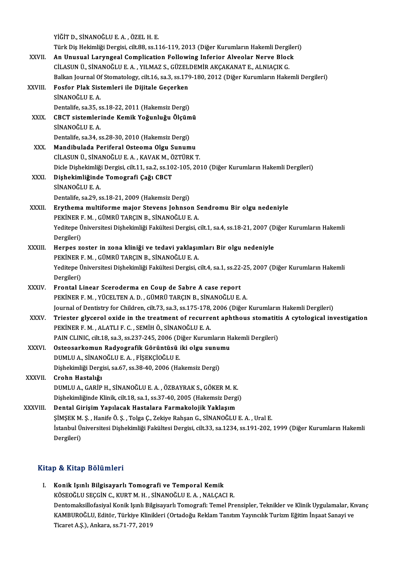YİĞİTD.,SİNANOĞLUE.A. ,ÖZELH.E. YİĞİT D., SİNANOĞLU E. A. , ÖZEL H. E.<br>Türk Diş Hekimliği Dergisi, cilt.88, ss.116-119, 2013 (Diğer Kurumların Hakemli Dergileri)<br>An Unuaual Larungeal Campliastian Fallawing Inforian Alvaelan Narva Blask XXVII. An Unusual Laryngeal Complication Following Inferior Alveolar Nerve Block Türk Diş Hekimliği Dergisi, cilt.88, ss.116-119, 2013 (Diğer Kurumların Hakemli Dergi<br>An Unusual Laryngeal Complication Following Inferior Alveolar Nerve Bloc<br>CİLASUN Ü., SİNANOĞLU E. A. , YILMAZ S., GÜZELDEMİR AKÇAKANAT E An Unusual Laryngeal Complication Following Inferior Alveolar Nerve Block<br>CİLASUN Ü., SİNANOĞLU E. A. , YILMAZ S., GÜZELDEMİR AKÇAKANAT E., ALNIAÇIK G.<br>Balkan Journal Of Stomatology, cilt.16, sa.3, ss.179-180, 2012 (Diğer CİLASUN Ü., SİNANOĞLU E. A. , YILMAZ S., GÜZELDEMİR AKÇAKANAT E., ALNIAÇIK G.<br>Balkan Journal Of Stomatology, cilt.16, sa.3, ss.179-180, 2012 (Diğer Kurumların Hake<br>XXVIII. Fosfor Plak Sistemleri ile Dijitale Geçerken<br>S Balkan Journal Of<br>Fosfor Plak Sist<br>SİNANOĞLU E. A.<br>Pontalife sa <sup>25</sup>. S Fosfor Plak Sistemleri ile Dijitale Geçerken<br>SİNANOĞLU E. A.<br>Dentalife, sa.35, ss.18-22, 2011 (Hakemsiz Dergi)<br>CPCT sistemlerinde Kemik Veğunluğu Öleüm SİNANOĞLU E. A.<br>Dentalife, sa.35, ss.18-22, 2011 (Hakemsiz Dergi)<br>XXIX. CBCT sistemlerinde Kemik Yoğunluğu Ölçümü<br>SİNANOĞLU E. A Dentalife, sa.35, s<br>CBCT sistemler<br>SİNANOĞLU E. A.<br>Dentalife, sa.34, s CBCT sistemlerinde Kemik Yoğunluğu Ölçüm<br>SİNANOĞLU E. A.<br>Dentalife, sa.34, ss.28-30, 2010 (Hakemsiz Dergi)<br>Mandibulada Beriforal Ostaama Olsu Sunum SİNANOĞLU E. A.<br>Dentalife, sa.34, ss.28-30, 2010 (Hakemsiz Dergi)<br>XXX. Mandibulada Periferal Osteoma Olgu Sunumu<br>CU ASUN Ü. SİNANOĞLU E. A. KAVAK M. ÖZTÜDK 1 Dentalife, sa.34, ss.28-30, 2010 (Hakemsiz Dergi)<br>Mandibulada Periferal Osteoma Olgu Sunumu<br>CİLASUN Ü., SİNANOĞLU E. A. , KAVAK M., ÖZTÜRK T.<br>Disle Dishekimliği Dergisi, silt 1.1, sa.2, ss.102, 105, 20. Mandibulada Periferal Osteoma Olgu Sunumu<br>CİLASUN Ü., SİNANOĞLU E. A. , KAVAK M., ÖZTÜRK T.<br>Dicle Dişhekimliği Dergisi, cilt.11, sa.2, ss.102-105, 2010 (Diğer Kurumların Hakemli Dergileri)<br>Dishekimliğinde Temegrafi Ceğı CB CİLASUN Ü., SİNANOĞLU E. A. , KAVAK M., Ö<br>Dicle Dişhekimliği Dergisi, cilt.11, sa.2, ss.10<br>XXXI. Dişhekimliğinde Tomografi Çağı CBCT<br>SİNANOĞLU E. A Dicle Dişhekimliğ<br>Dişhekimliğinde<br>SİNANOĞLU E. A.<br>Pontalifa. 82.29. a Dişhekimliğinde Tomografi Çağı CBCT<br>SİNANOĞLU E. A.<br>Dentalife, sa.29, ss.18-21, 2009 (Hakemsiz Dergi) SİNANOĞLU E. A.<br>Dentalife, sa.29, ss.18-21, 2009 (Hakemsiz Dergi)<br>XXXII. Erythema multiforme major Stevens Johnson Sendromu Bir olgu nedeniyle<br>REKINER E. M. CÜMBÜ TARCIN B. SİNANOĞLU E. A. Dentalife, sa.29, ss.18-21, 2009 (Hakemsiz Dergi)<br><mark>Erythema multiforme major Stevens Johnson S</mark><br>PEKİNER F. M. , GÜMRÜ TARÇIN B., SİNANOĞLU E. A.<br>Veditana Üniversitesi Dishaltimliği Falsiltesi Dergisi Erythema multiforme major Stevens Johnson Sendromu Bir olgu nedeniyle<br>PEKİNER F. M. , GÜMRÜ TARÇIN B., SİNANOĞLU E. A.<br>Yeditepe Üniversitesi Dişhekimliği Fakültesi Dergisi, cilt.1, sa.4, ss.18-21, 2007 (Diğer Kurumların Ha PEKİNER I<br>Yeditepe Ü<br>Dergileri)<br>Hernes 71 Yeditepe Üniversitesi Dişhekimliği Fakültesi Dergisi, cilt.1, sa.4, ss.18-21, 2007 (D<br>Dergileri)<br>XXXIII. Herpes zoster in zona kliniği ve tedavi yaklaşımları Bir olgu nedeniyle<br>PEVİNED E M. CÜMPÜ TARCIN B. SİNANOĞLU E A Dergileri)<br>Herpes zoster in zona kliniği ve tedavi yaklaşır<br>PEKİNER F. M. , GÜMRÜ TARÇIN B., SİNANOĞLU E. A.<br>Yeditana Üniversitesi Dishekimliği Fekültesi Dergisi *s* Herpes zoster in zona kliniği ve tedavi yaklaşımları Bir olgu nedeniyle<br>PEKİNER F. M. , GÜMRÜ TARÇIN B., SİNANOĞLU E. A.<br>Yeditepe Üniversitesi Dişhekimliği Fakültesi Dergisi, cilt.4, sa.1, ss.22-25, 2007 (Diğer Kurumların PEKİNER I<br>Yeditepe Ü<br>Dergileri)<br>Erentel I Yeditepe Üniversitesi Dişhekimliği Fakültesi Dergisi, cilt.4, sa.1, ss.22<br>Dergileri)<br>XXXIV. Frontal Linear Sceroderma en Coup de Sabre A case report<br>DEVINED E M. VÜCELTEN A D. CÜMPÜ TARCIN B. SİNANOĞLU E Dergileri)<br>Frontal Linear Sceroderma en Coup de Sabre A case report<br>PEKİNER F. M. , YÜCELTEN A. D. , GÜMRÜ TARÇIN B., SİNANOĞLU E. A.<br>Journal of Dentistry for Children, silt 72, sə 2, sə 175, 179, 2006 (Diğer PEKİNER F. M. , YÜCELTEN A. D. , GÜMRÜ TARÇIN B., SİNANOĞLU E. A.<br>Journal of Dentistry for Children, cilt.73, sa.3, ss.175-178, 2006 (Diğer Kurumların Hakemli Dergileri) PEKİNER F. M. , YÜCELTEN A. D. , GÜMRÜ TARÇIN B., SİNANOĞLU E. A.<br>Journal of Dentistry for Children, cilt.73, sa.3, ss.175-178, 2006 (Diğer Kurumların Hakemli Dergileri)<br>XXXV. Triester glycerol oxide in the treatment o Journal of Dentistry for Children, cilt.73, sa.3, ss.175-178,<br>Triester glycerol oxide in the treatment of recurre<br>PEKİNER F. M. , ALATLI F. C. , SEMİH Ö., SİNANOĞLU E. A.<br>PAIN CLINIC. silt 19. ss.3, ss.327, 345, 3006 (Dižo Triester glycerol oxide in the treatment of recurrent aphthous stomatiti<br>PEKİNER F. M. , ALATLI F. C. , SEMİH Ö., SİNANOĞLU E. A.<br>PAIN CLINIC, cilt.18, sa.3, ss.237-245, 2006 (Diğer Kurumların Hakemli Dergileri)<br>Ostaasarka PEKİNER F. M. , ALATLI F. C. , SEMİH Ö., SİNANOĞLU E. A.<br>PAIN CLINIC, cilt.18, sa.3, ss.237-245, 2006 (Diğer Kurumların H<br>XXXVI. Osteosarkomun Radyografik Görüntüsü iki olgu sunumu<br>DIMU ILA, SİNANOĞLU E. A. FİSEKÇİQĞLU E. PAIN CLINIC, cilt.18, sa.3, ss.237-245, 2006 (D<br>Osteosarkomun Radyografik Görüntüsü<br>DUMLU A., SİNANOĞLU E. A. , FİŞEKÇİOĞLU E.<br>Dishekimliği Dergisi, sa.67, sa.28, 40, 2006 (Ha Osteosarkomun Radyografik Görüntüsü iki olgu sunu:<br>DUMLU A., SİNANOĞLU E. A. , FİŞEKÇİOĞLU E.<br>Dişhekimliği Dergisi, sa.67, ss.38-40, 2006 (Hakemsiz Dergi)<br>Crohn Hastalığı DUMLU A., SİNANOĞLU E. A. , FİŞEKÇİOĞLU E.<br>Dişhekimliği Dergisi, sa.67, ss.38-40, 2006 (Hakemsiz Dergi)<br>XXXVII. Crohn Hastalığı DUMLUA.,GARİPH.,SİNANOĞLUE.A. ,ÖZBAYRAKS.,GÖKERM.K. Dişhekimliğinde Klinik, cilt.18, sa.1, ss.37-40, 2005 (Hakemsiz Dergi) XXXVIII. Dental Girişim Yapılacak Hastalara Farmakolojik Yaklaşım Dişhekimliğinde Klinik, cilt.18, sa.1, ss.37-40, 2005 (Hakemsiz Dergi)<br>Dental Girişim Yapılacak Hastalara Farmakolojik Yaklaşım<br>ŞİMŞEK M. Ş. , Hanife Ö. Ş. , Tolga Ç., Zekiye Rahşan G., SİNANOĞLU E. A. , Ural E.<br>İstanbul Ü İstanbul Üniversitesi Dişhekimliği Fakültesi Dergisi, cilt.33, sa.1234, ss.191-202, 1999 (Diğer Kurumların Hakemli<br>Dergileri) ŞİMŞEK M.<br>İstanbul Ü<br>Dergileri)

### Kitap & Kitap Bölümleri

Itap & Kitap Bölümleri<br>I. Konik Işınlı Bilgisayarlı Tomografi ve Temporal Kemik<br>KÖSEQĞLU SECCİN G KUPT M H. SİNANQĞLU E A. NALGAG közüstesinde közülletik<br>Könik Işınlı Bilgisayarlı Tomografi ve Temporal Kemik<br>KÖSEOĞLU SEÇGİN C., KURT M. H. , SİNANOĞLU E. A. , NALÇACI R.<br>Pentemaksillefesiyal Kenik Isulı Bilgisayarlı Temegrafi: Temal Pr Konik Işınlı Bilgisayarlı Tomografi ve Temporal Kemik<br>KÖSEOĞLU SEÇGİN C., KURT M. H. , SİNANOĞLU E. A. , NALÇACI R.<br>Dentomaksillofasiyal Konik Işınlı Bilgisayarlı Tomografi: Temel Prensipler, Teknikler ve Klinik Uygulamala KÖSEOĞLU SEÇGİN C., KURT M. H. , SİNANOĞLU E. A. , NALÇACI R.<br>Dentomaksillofasiyal Konik Işınlı Bilgisayarlı Tomografi: Temel Prensipler, Teknikler ve Klinik Uygulamalar, K<br>KAMBUROĞLU, Editör, Türkiye Klinikleri (Ortadoğu Dentomaksillofasiyal Konik Işınlı Bil<br>KAMBUROĞLU, Editör, Türkiye Klini<br>Ticaret A.Ş.), Ankara, ss.71-77, 2019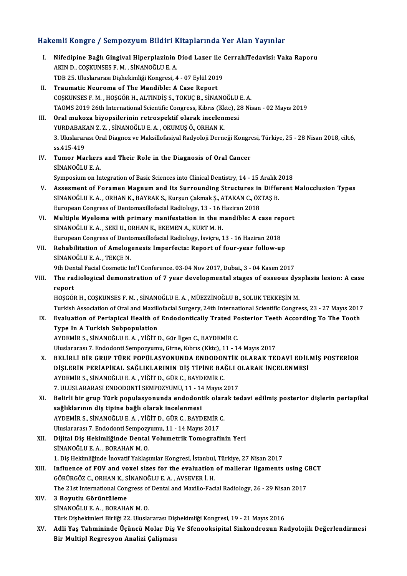# Hakemli Kongre / Sempozyum Bildiri Kitaplarında Yer Alan Yayınlar<br>Hakemli Kongre / Sempozyum Bildiri Kitaplarında Yer Alan Yayınlar

|       | Hakemli Kongre / Sempozyum Bildiri Kitaplarında Yer Alan Yayınlar                                                                |
|-------|----------------------------------------------------------------------------------------------------------------------------------|
| Ι.    | Nifedipine Bağlı Gingival Hiperplazinin Diod Lazer ile CerrahiTedavisi: Vaka Raporu<br>AKIN D., COŞKUNSES F. M., SİNANOĞLU E. A. |
|       | TDB 25. Uluslararası Dişhekimliği Kongresi, 4 - 07 Eylül 2019<br>Traumatic Neuroma of The Mandible: A Case Report                |
| П.    | COSKUNSES F. M., HOSGÖR H., ALTINDIS S., TOKUÇ B., SİNANOĞLU E. A.                                                               |
|       | TAOMS 2019 26th International Scientific Congress, Kıbrıs (Kktc), 28 Nisan - 02 Mayıs 2019                                       |
| Ш.    | Oral mukoza biyopsilerinin retrospektif olarak incelenmesi                                                                       |
|       | YURDABAKAN Z.Z., SİNANOĞLU E.A., OKUMUŞ Ö., ORHAN K.                                                                             |
|       | 3. Uluslararası Oral Diagnoz ve Maksillofasiyal Radyoloji Derneği Kongresi, Türkiye, 25 - 28 Nisan 2018, cilt.6,                 |
|       | ss 415-419                                                                                                                       |
| IV.   | Tumor Markers and Their Role in the Diagnosis of Oral Cancer                                                                     |
|       | SİNANOĞLU E.A.                                                                                                                   |
|       | Symposium on Integration of Basic Sciences into Clinical Dentistry, 14 - 15 Aralık 2018                                          |
| V.    | Assesment of Foramen Magnum and Its Surrounding Structures in Different Malocclusion Types                                       |
|       | SİNANOĞLU E. A., ORHAN K., BAYRAK S., Kurşun Çakmak Ş., ATAKAN C., ÖZTAŞ B.                                                      |
|       | European Congress of Dentomaxillofacial Radiology, 13 - 16 Haziran 2018                                                          |
| VI.   | Multiple Myeloma with primary manifestation in the mandible: A case report                                                       |
|       | SİNANOĞLU E. A., SEKİ U., ORHAN K., EKEMEN A., KURT M. H.                                                                        |
|       | European Congress of Dentomaxillofacial Radiology, İsviçre, 13 - 16 Haziran 2018                                                 |
| VII.  | Rehabilitation of Amelogenesis Imperfecta: Report of four-year follow-up                                                         |
|       | SINANOĞLU E.A., TEKÇE N.                                                                                                         |
|       | 9th Dental Facial Cosmetic Int'l Conference. 03-04 Nov 2017, Dubai., 3 - 04 Kasım 2017                                           |
| VIII. | The radiological demonstration of 7 year developmental stages of osseous dysplasia lesion: A case                                |
|       | report                                                                                                                           |
|       | HOŞGÖR H., COŞKUNSES F. M., SİNANOĞLU E. A., MÜEZZİNOĞLU B., SOLUK TEKKEŞİN M.                                                   |
|       | Turkish Association of Oral and Maxillofacial Surgery, 24th International Scientific Congress, 23 - 27 Mayıs 2017                |
| IX.   | Evaluation of Periapical Health of Endodontically Trated Posterior Teeth According To The Tooth                                  |
|       | Type In A Turkish Subpopulation                                                                                                  |
|       | AYDEMİR S., SİNANOĞLU E. A., YİĞİT D., Gür İlgen C., BAYDEMİR C.                                                                 |
|       | Uluslararası 7. Endodonti Sempozyumu, Girne, Kıbrıs (Kktc), 11 - 14 Mayıs 2017                                                   |
| X.    | BELİRLİ BİR GRUP TÜRK POPÜLASYONUNDA ENDODONTİK OLARAK TEDAVİ EDİLMİŞ POSTERİOR                                                  |
|       | DİŞLERİN PERİAPİKAL SAĞLIKLARININ DİŞ TİPİNE BAĞLI OLARAK İNCELENMESİ                                                            |
|       | AYDEMİR S., SİNANOĞLU E. A., YİĞİT D., GÜR C., BAYDEMİR C.                                                                       |
|       | 7. ULUSLARARASI ENDODONTİ SEMPOZYUMU, 11 - 14 Mayıs 2017                                                                         |
| XI.   | Belirli bir grup Türk populasyonunda endodontik olarak tedavi edilmiş posterior dişlerin periapikal                              |
|       | sağlıklarının diş tipine bağlı olarak incelenmesi                                                                                |
|       | AYDEMİR S., SİNANOĞLU E. A., YİĞİT D., GÜR C., BAYDEMİR C.                                                                       |
|       | Uluslararası 7. Endodonti Sempozyumu, 11 - 14 Mayıs 2017                                                                         |
| XII.  | Dijital Diş Hekimliğinde Dental Volumetrik Tomografinin Yeri                                                                     |
|       | SİNANOĞLU E.A., BORAHAN M.O.                                                                                                     |
|       | 1. Diş Hekimliğinde İnovatif Yaklaşımlar Kongresi, İstanbul, Türkiye, 27 Nisan 2017                                              |
| XIII. | Influence of FOV and voxel sizes for the evaluation of mallerar ligaments using CBCT                                             |
|       | GÖRÜRGÖZ C., ORHAN K., SİNANOĞLU E. A., AVSEVER İ. H.                                                                            |
|       | The 21st International Congress of Dental and Maxillo-Facial Radiology, 26 - 29 Nisan 2017                                       |
| XIV.  | 3 Boyutlu Görüntüleme                                                                                                            |
|       | SİNANOĞLU E.A., BORAHAN M.O.                                                                                                     |
|       | Türk Dişhekimleri Birliği 22. Uluslararası Dişhekimliği Kongresi, 19 - 21 Mayıs 2016                                             |
| XV.   | Adli Yaş Tahmininde Üçüncü Molar Diş Ve Sfenooksipital Sinkondrozun Radyolojik Değerlendirmesi                                   |
|       | Bir Multipl Regresyon Analizi Çalişması                                                                                          |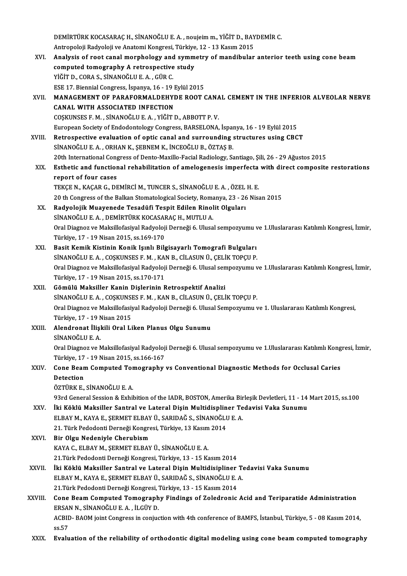|         | DEMİRTÜRK KOCASARAÇ H., SİNANOĞLU E. A., noujeim m., YİĞİT D., BAYDEMİR C.                                                                                                                  |
|---------|---------------------------------------------------------------------------------------------------------------------------------------------------------------------------------------------|
|         | Antropoloji Radyoloji ve Anatomi Kongresi, Türkiye, 12 - 13 Kasım 2015                                                                                                                      |
| XVI.    | Analysis of root canal morphology and symmetry of mandibular anterior teeth using cone beam                                                                                                 |
|         | computed tomography A retrospective study                                                                                                                                                   |
|         | YİĞİT D., CORA S., SİNANOĞLU E. A., GÜR C.                                                                                                                                                  |
|         | ESE 17. Biennial Congress, İspanya, 16 - 19 Eylül 2015                                                                                                                                      |
| XVII.   | MANAGEMENT OF PARAFORMALDEHYDE ROOT CANAL CEMENT IN THE INFERIOR ALVEOLAR NERVE                                                                                                             |
|         | CANAL WITH ASSOCIATED INFECTION                                                                                                                                                             |
|         | COŞKUNSES F. M., SİNANOĞLU E. A., YİĞİT D., ABBOTT P. V.                                                                                                                                    |
|         | European Society of Endodontology Congress, BARSELONA, İspanya, 16 - 19 Eylül 2015                                                                                                          |
| XVIII.  | Retrospective evaluation of optic canal and surrounding structures using CBCT                                                                                                               |
|         | SİNANOĞLU E. A., ORHAN K., ŞEBNEM K., İNCEOĞLU B., ÖZTAŞ B.                                                                                                                                 |
|         | 20th International Congress of Dento-Maxillo-Facial Radiology, Santiago, Șili, 26 - 29 Ağustos 2015                                                                                         |
| XIX.    | Esthetic and functional rehabilitation of amelogenesis imperfecta with direct composite restorations                                                                                        |
|         | report of four cases                                                                                                                                                                        |
|         | TEKÇE N., KAÇAR G., DEMİRCİ M., TUNCER S., SİNANOĞLU E. A., ÖZEL H. E.                                                                                                                      |
|         | 20 th Congress of the Balkan Stomatological Society, Romanya, 23 - 26 Nisan 2015                                                                                                            |
| XX.     | Radyolojik Muayenede Tesadüfi Tespit Edilen Rinolit Olguları                                                                                                                                |
|         | SİNANOĞLU E. A., DEMİRTÜRK KOCASARAÇ H., MUTLU A.                                                                                                                                           |
|         | Oral Diagnoz ve Maksillofasiyal Radyoloji Derneği 6. Ulusal sempozyumu ve 1.Uluslararası Katılımlı Kongresi, İzmir,                                                                         |
|         | Türkiye, 17 - 19 Nisan 2015, ss 169-170                                                                                                                                                     |
| XXI.    | Basit Kemik Kistinin Konik Işınlı Bilgisayarlı Tomografi Bulguları                                                                                                                          |
|         | SİNANOĞLU E. A., COŞKUNSES F. M., KAN B., CİLASUN Ü., ÇELİK TOPÇU P.<br>Oral Diagnoz ve Maksillofasiyal Radyoloji Derneği 6. Ulusal sempozyumu ve 1.Uluslararası Katılımlı Kongresi, İzmir, |
|         | Türkiye, 17 - 19 Nisan 2015, ss 170-171                                                                                                                                                     |
| XXII.   | Gömülü Maksiller Kanin Dişlerinin Retrospektif Analizi                                                                                                                                      |
|         | SİNANOĞLU E. A., COŞKUNSES F. M., KAN B., CİLASUN Ü., ÇELİK TOPÇU P.                                                                                                                        |
|         | Oral Diagnoz ve Maksillofasiyal Radyoloji Derneği 6. Ulusal Sempozyumu ve 1. Uluslararası Katılımlı Kongresi,                                                                               |
|         | Türkive. 17 - 19 Nisan 2015                                                                                                                                                                 |
| XXIII.  | Alendronat İlişkili Oral Liken Planus Olgu Sunumu                                                                                                                                           |
|         | SİNANOĞLU E.A.                                                                                                                                                                              |
|         | Oral Diagnoz ve Maksillofasiyal Radyoloji Derneği 6. Ulusal sempozyumu ve 1.Uluslararası Katılımlı Kongresi, İzmir,                                                                         |
|         | Türkiye, 17 - 19 Nisan 2015, ss 166-167                                                                                                                                                     |
| XXIV.   | Cone Beam Computed Tomography vs Conventional Diagnostic Methods for Occlusal Caries                                                                                                        |
|         | Detection                                                                                                                                                                                   |
|         | ÖZTÜRK E., SİNANOĞLU E. A.                                                                                                                                                                  |
|         | 93rd General Session & Exhibition of the IADR, BOSTON, Amerika Birleşik Devletleri, 11 - 14 Mart 2015, ss.100                                                                               |
| XXV.    | İki Köklü Maksiller Santral ve Lateral Dişin Multidispliner Tedavisi Vaka Sunumu                                                                                                            |
|         | ELBAY M., KAYA E., ŞERMET ELBAY Ü., SARIDAĞ S., SİNANOĞLU E. A.                                                                                                                             |
|         | 21. Türk Pedodonti Derneği Kongresi, Türkiye, 13 Kasım 2014                                                                                                                                 |
| XXVI.   | Bir Olgu Nedeniyle Cherubism                                                                                                                                                                |
|         | KAYA C., ELBAY M., ŞERMET ELBAY Ü., SİNANOĞLU E. A.                                                                                                                                         |
|         | 21. Türk Pedodonti Derneği Kongresi, Türkiye, 13 - 15 Kasım 2014                                                                                                                            |
| XXVII.  | İki Köklü Maksiller Santral ve Lateral Dişin Multidisipliner Tedavisi Vaka Sunumu                                                                                                           |
|         | ELBAY M., KAYA E., ŞERMET ELBAY Ü., SARIDAĞ S., SİNANOĞLU E. A.                                                                                                                             |
|         | 21. Türk Pedodonti Derneği Kongresi, Türkiye, 13 - 15 Kasım 2014                                                                                                                            |
| XXVIII. | Cone Beam Computed Tomography Findings of Zoledronic Acid and Teriparatide Administration                                                                                                   |
|         | ERSAN N., SİNANOĞLU E. A., İLGÜY D.                                                                                                                                                         |
|         | ACBID-BAOM joint Congress in conjuction with 4th conference of BAMFS, İstanbul, Türkiye, 5 - 08 Kasım 2014,                                                                                 |
|         | ss.57                                                                                                                                                                                       |
| XXIX.   | Evaluation of the reliability of orthodontic digital modeling using cone beam computed tomography                                                                                           |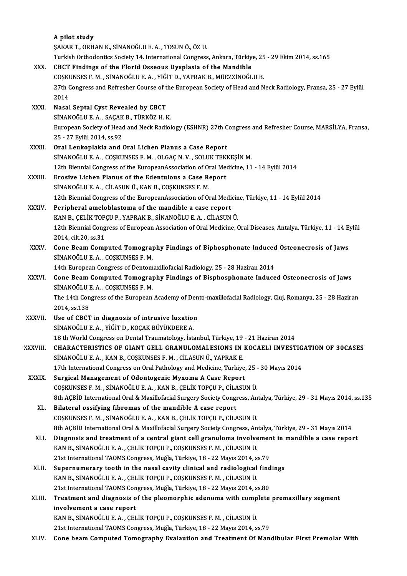|               | A pilot study                                                                                                                                                           |
|---------------|-------------------------------------------------------------------------------------------------------------------------------------------------------------------------|
|               | ŞAKAR T., ORHAN K., SİNANOĞLU E. A., TOSUN Ö., ÖZ U.                                                                                                                    |
| XXX.          | Turkish Orthodontics Society 14. International Congress, Ankara, Türkiye, 25 - 29 Ekim 2014, ss.165<br>CBCT Findings of the Florid Osseous Dysplasia of the Mandible    |
|               | COȘKUNSES F. M., SİNANOĞLU E. A., YİĞİT D., YAPRAK B., MÜEZZİNOĞLU B.                                                                                                   |
|               | 27th Congress and Refresher Course of the European Society of Head and Neck Radiology, Fransa, 25 - 27 Eylül                                                            |
|               | 2014                                                                                                                                                                    |
| XXXI.         | Nasal Septal Cyst Revealed by CBCT                                                                                                                                      |
|               | SİNANOĞLU E.A., SAÇAK B., TÜRKÖZ H.K.                                                                                                                                   |
|               | European Society of Head and Neck Radiology (ESHNR) 27th Congress and Refresher Course, MARSİLYA, Fransa,                                                               |
|               | 25 - 27 Eylül 2014, ss 92                                                                                                                                               |
| XXXII.        | Oral Leukoplakia and Oral Lichen Planus a Case Report                                                                                                                   |
|               | SİNANOĞLU E. A., COŞKUNSES F. M., OLGAÇ N. V., SOLUK TEKKEŞİN M.                                                                                                        |
|               | 12th Biennial Congress of the EuropeanAssociation of Oral Medicine, 11 - 14 Eylül 2014                                                                                  |
| XXXIII.       | Erosive Lichen Planus of the Edentulous a Case Report                                                                                                                   |
|               | SİNANOĞLU E. A., CİLASUN Ü., KAN B., COŞKUNSES F. M.                                                                                                                    |
|               | 12th Biennial Congress of the EuropeanAssociation of Oral Medicine, Türkiye, 11 - 14 Eylül 2014                                                                         |
| XXXIV.        | Peripheral ameloblastoma of the mandible a case report                                                                                                                  |
|               | KAN B., ÇELİK TOPÇU P., YAPRAK B., SİNANOĞLU E. A., CİLASUN Ü.                                                                                                          |
|               | 12th Biennial Congress of European Association of Oral Medicine, Oral Diseases, Antalya, Türkiye, 11 - 14 Eylül                                                         |
|               | 2014, cilt.20, ss 31                                                                                                                                                    |
| <b>XXXV</b>   | Cone Beam Computed Tomography Findings of Biphosphonate Induced Osteonecrosis of Jaws<br>SİNANOĞLU E. A., COŞKUNSES F. M.                                               |
|               | 14th European Congress of Dentomaxillofacial Radiology, 25 - 28 Haziran 2014                                                                                            |
| <b>XXXVI</b>  | Cone Beam Computed Tomography Findings of Bisphosphonate Induced Osteonecrosis of Jaws                                                                                  |
|               | SİNANOĞLU E.A., COŞKUNSES F.M.                                                                                                                                          |
|               | The 14th Congress of the European Academy of Dento-maxillofacial Radiology, Cluj, Romanya, 25 - 28 Haziran                                                              |
|               | 2014, ss 138                                                                                                                                                            |
| <b>XXXVII</b> | Use of CBCT in diagnosis of intrusive luxation                                                                                                                          |
|               | SİNANOĞLU E. A. . YİĞİT D KOCAK BÜYÜKDERE A.                                                                                                                            |
|               | 18 th World Congress on Dental Traumatology, İstanbul, Türkiye, 19 - 21 Haziran 2014                                                                                    |
| XXXVIII.      | CHARACTERISTICS OF GIANT GELL GRANULOMALESIONS IN KOCAELI INVESTIGATION OF 30CASES                                                                                      |
|               | SİNANOĞLU E. A., KAN B., COŞKUNSES F. M., CİLASUN Ü., YAPRAK E.                                                                                                         |
|               | 17th International Congress on Oral Pathology and Medicine, Türkiye, 25 - 30 Mayıs 2014                                                                                 |
| XXXIX.        | Surgical Management of Odontogenic Myxoma A Case Report                                                                                                                 |
|               | COŞKUNSES F. M., SİNANOĞLU E. A., KAN B., ÇELİK TOPÇU P., CİLASUN Ü.                                                                                                    |
|               | 8th AÇBİD International Oral & Maxillofacial Surgery Society Congress, Antalya, Türkiye, 29 - 31 Mayıs 2014, ss.135                                                     |
| XL.           | Bilateral ossifying fibromas of the mandible A case report                                                                                                              |
|               | COȘKUNSES F. M., SİNANOĞLU E. A., KAN B., ÇELİK TOPÇU P., CİLASUN Ü.                                                                                                    |
|               | 8th AÇBİD International Oral & Maxillofacial Surgery Society Congress, Antalya, Türkiye, 29 - 31 Mayıs 2014                                                             |
| XLI.          | Diagnosis and treatment of a central giant cell granuloma involvement in mandible a case report<br>KAN B., SİNANOĞLU E. A., ÇELİK TOPÇU P., COŞKUNSES F. M., CİLASUN Ü. |
|               | 21st International TAOMS Congress, Muğla, Türkiye, 18 - 22 Mayıs 2014, ss.79                                                                                            |
| XLII.         | Supernumerary tooth in the nasal cavity clinical and radiological findings                                                                                              |
|               | KAN B., SİNANOĞLU E. A., ÇELİK TOPÇU P., COŞKUNSES F. M., CİLASUN Ü.                                                                                                    |
|               | 21st International TAOMS Congress, Muğla, Türkiye, 18 - 22 Mayıs 2014, ss.80                                                                                            |
| XLIII.        | Treatment and diagnosis of the pleomorphic adenoma with complete premaxillary segment                                                                                   |
|               | involvement a case report                                                                                                                                               |
|               | KAN B., SİNANOĞLU E. A., ÇELİK TOPÇU P., COŞKUNSES F. M., CİLASUN Ü.                                                                                                    |
|               | 21st International TAOMS Congress, Muğla, Türkiye, 18 - 22 Mayıs 2014, ss.79                                                                                            |
| XLIV.         | Cone beam Computed Tomography Evalaution and Treatment Of Mandibular First Premolar With                                                                                |
|               |                                                                                                                                                                         |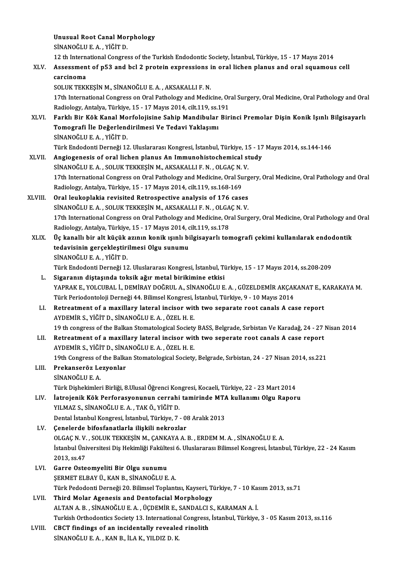Unusual Root Canal Morphology<br>Sinanočuus A, vičir p Unusual Root Canal Mor<br>SİNANOĞLU E. A. , YİĞİT D.<br>12 th International Congres

12 th InternationalCongress of theTurkishEndodontic Society, İstanbul,Türkiye,15 -17Mayıs2014

# SİNANOĞLU E. A. , YİĞİT D.<br>12 th International Congress of the Turkish Endodontic Society, İstanbul, Türkiye, 15 - 17 Mayıs 2014<br>XLV. Assessment of p53 and bcl 2 protein expressions in oral lichen planus and oral squam 12 th Internation<br>Assessmen<br>carcinoma<br>souliv TEV Assessment of p53 and bcl 2 protein expressions i<br>carcinoma<br>SOLUK TEKKEŞİN M., SİNANOĞLU E. A. , AKSAKALLI F. N.<br>17th International Congress on Oral Pathology and Media

soluk TEKKEŞİN M., SİNANOĞLU E. A. , AKSAKALLI F. N.<br>17th International Congress on Oral Pathology and Medicine, Oral Surgery, Oral Medicine, Oral Pathology and Oral<br>Radiology, Antalya, Türkiye, 15 - 17 Mayıs 2014, cilt.11 SOLUK TEKKEŞİN M., SİNANOĞLU E. A. , AKSAKALLI F. N.<br>17th International Congress on Oral Pathology and Medicine, Or<br>Radiology, Antalya, Türkiye, 15 - 17 Mayıs 2014, cilt.119, ss.191<br>Farklı Bir Kök Kanal Merfolojisine Sabin

XLVI. Farklı Bir Kök KanalMorfolojisine Sahip Mandibular Birinci Premolar Dişin Konik Işınlı Bilgisayarlı Radiology, Antalya, Türkiye, 15 - 17 Mayıs 2014, cilt.119, ss.1<br>Farklı Bir Kök Kanal Morfolojisine Sahip Mandibular<br>Tomografi İle Değerlendirilmesi Ve Tedavi Yaklaşımı<br>SiNANQĞLUE A. YİĞİT D Farklı Bir Kök Kanal Mo<br>Tomografi İle Değerlend<br>SİNANOĞLU E.A. , YİĞİT D.<br>Türk Endedenti Derneği 13 SİNANOĞLU E. A. , YİĞİT D.<br>Türk Endodonti Derneği 12. Uluslararası Kongresi, İstanbul, Türkiye, 15 - 17 Mayıs 2014, ss.144-146

XLVII. Angiogenesis of oral lichen planus An Immunohistochemical study Türk Endodonti Derneği 12. Uluslararası Kongresi, İstanbul, Türkiye, 1!<br>Angiogenesis of oral lichen planus An Immunohistochemical st<br>SİNANOĞLU E. A. , SOLUK TEKKEŞİN M., AKSAKALLI F. N. , OLGAÇ N. V.<br>17th International Con 17th International Congress on Oral Pathology and Medicine, Oral Surgery, Oral Medicine, Oral Pathology and Oral<br>Radiology, Antalya, Türkiye, 15 - 17 Mayıs 2014, cilt.119, ss.168-169 SİNANOĞLU E. A. , SOLUK TEKKEŞİN M., AKSAKALLI F. N. , OLGAÇ N.<br>17th International Congress on Oral Pathology and Medicine, Oral Su<br>Radiology, Antalya, Türkiye, 15 - 17 Mayıs 2014, cilt.119, ss.168-169<br>Oral laukanlakia rev

- XLVIII. Oral leukoplakia revisited Retrospective analysis of 176 cases SİNANOĞLU E. A., SOLUK TEKKEŞİN M., AKSAKALLI F. N., OLGAÇN. V. 0ral leukoplakia revisited Retrospective analysis of 176 cases<br>SİNANOĞLU E. A. , SOLUK TEKKEŞİN M., AKSAKALLI F. N. , OLGAÇ N. V.<br>17th International Congress on Oral Pathology and Medicine, Oral Surgery, Oral Medicine, Ora SİNANOĞLU E. A. , SOLUK TEKKEŞİN M., AKSAKALLI F. N. , OLGA<br>17th International Congress on Oral Pathology and Medicine, Or<br>Radiology, Antalya, Türkiye, 15 - 17 Mayıs 2014, cilt.119, ss.178<br>Üs kanallı bir alt küsük azının k 17th International Congress on Oral Pathology and Medicine, Oral Surgery, Oral Medicine, Oral Pathology and<br>Radiology, Antalya, Türkiye, 15 - 17 Mayıs 2014, cilt.119, ss.178<br>XLIX. Üç kanallı bir alt küçük azının konik ışın
	- Radiology, Antalya, Türkiye, 15 17 Mayıs 2014, cilt.119, ss.178<br>Üç kanallı bir alt küçük azının konik ışınlı bilgisayarlı tomografi çekimi kullanılarak endodontik<br>tedavisinin gerçekleştirilmesi Olgu sunumu SİNANOĞLUE.A. ,YİĞİTD. tedavisinin gerçekleştirilmesi Olgu sunumu<br>SİNANOĞLU E. A. , YİĞİT D.<br>Türk Endodonti Derneği 12. Uluslararası Kongresi, İstanbul, Türkiye, 15 - 17 Mayıs 2014, ss.208-209<br>Sigaranın distasında toksik ağır matal birikimine et SİNANOĞLU E. A. , YİĞİT D.<br>Türk Endodonti Derneği 12. Uluslararası Kongresi, İstanbul, Ti<br>L. Sigaranın diştaşında toksik ağır metal birikimine etkisi<br>VARRAK E. YOLCURAL İ. DEMİRAY DOĞRULA, SİNANOĞLU E

Türk Endodonti Derneği 12. Uluslararası Kongresi, İstanbul, Türkiye, 15 - 17 Mayıs 2014, ss.208-209<br>Sigaranın diştaşında toksik ağır metal birikimine etkisi<br>YAPRAK E., YOLCUBAL İ., DEMİRAY DOĞRUL A., SİNANOĞLU E. A. , GÜZE Sigaranın diştaşında toksik ağır metal birikimine etkisi<br>YAPRAK E., YOLCUBAL İ., DEMİRAY DOĞRUL A., SİNANOĞLU E. A. , GÜZELDEMİR AKÇAK<br>Türk Periodontoloji Derneği 44. Bilimsel Kongresi, İstanbul, Türkiye, 9 - 10 Mayıs 2014 YAPRAK E., YOLCUBAL İ., DEMİRAY DOĞRUL A., SİNANOĞLU E. A. , GÜZELDEMİR AKÇAKANAT E., K<br>Türk Periodontoloji Derneği 44. Bilimsel Kongresi, İstanbul, Türkiye, 9 - 10 Mayıs 2014<br>LI. Retreatment of a maxillary lateral incisor

Türk Periodontoloji Derneği 44. Bilimsel Kongresi, İstanbul, Türkiye, 9 - 10 Mayıs 2014<br>Retreatment of a maxillary lateral incisor with two separate root canals A case report<br>AYDEMİR S., YİĞİT D., SİNANOĞLU E. A. , ÖZEL H. 19 th congress of the Balkan Stomatological Society BASS, Belgrade, Sırbistan Ve Karadağ, 24 - 27 Nisan 2014

LII. Retreatment of a maxillary lateral incisor with two seperate root canals A case report AYDEMİRS.,YİĞİTD.,SİNANOĞLUE.A. ,ÖZELH.E. Retreatment of a maxillary lateral incisor with two seperate root canals A case report<br>AYDEMİR S., YİĞİT D., SİNANOĞLU E. A. , ÖZEL H. E.<br>19th Congress of the Balkan Stomatological Society, Belgrade, Sırbistan, 24 - 27 Nis

## LIII. Prekanseröz Lezyonlar<br>SİNANOĞLU E. A. 19th Congress of<br><mark>Prekanseröz Le</mark><br>SİNANOĞLU E. A.<br>Türk Dishekimler Türk Dişhekimleri Birliği, 8.Ulusal Öğrenci Kongresi, Kocaeli, Türkiye, 22 - 23 Mart 2014 SİNANOĞLU E. A.<br>Türk Dişhekimleri Birliği, 8.Ulusal Öğrenci Kongresi, Kocaeli, Türkiye, 22 - 23 Mart 2014<br>LIV. İatrojenik Kök Perforasyonunun cerrahi tamirinde MTA kullanımı Olgu Raporu<br>VII MAZ S SİNANOĞLU E A TAK

Türk Dişhekimleri Birliği, 8.Ulusal Öğrenci Kon<br>İatrojenik Kök Perforasyonunun cerrahi<br>YILMAZ S., SİNANOĞLU E. A. , TAK Ö., YİĞİT D.<br>Dental İstanbul Kongresi, İstanbul Türkiye, 7. İatrojenik Kök Perforasyonunun cerrahi tamirinde MTA<br>YILMAZ S., SİNANOĞLU E. A. , TAK Ö., YİĞİT D.<br>Dental İstanbul Kongresi, İstanbul, Türkiye, 7 - 08 Aralık 2013<br>Canalarda bifasfanatlarla iliskili nakrazlar

```
YILMAZ S., SİNANOĞLU E. A. , TAK Ö., YİĞİT D.<br>Dental İstanbul Kongresi, İstanbul, Türkiye, 7 - 0;<br>LV. Genelerde bifosfanatlarla ilişkili nekrozlar<br>OLGACN V. SOLUK TEKKESIN M. GANKAYA A.
                 Dental İstanbul Kongresi, İstanbul, Türkiye, 7 - 08 Aralık 2013<br>Çenelerde bifosfanatlarla ilişkili nekrozlar<br>OLGAÇ N. V. , SOLUK TEKKEŞİN M., ÇANKAYA A. B. , ERDEM M. A. , SİNANOĞLU E. A.<br>İstanbul Üniversitesi Diş Hekimliğ
LV. Genelerde bifosfanatlarla ilişkili nekrozlar<br>OLGAÇ N. V. , SOLUK TEKKEŞİN M., ÇANKAYA A. B. , ERDEM M. A. , SİNANOĞLU E. A.<br>İstanbul Üniversitesi Diş Hekimliği Fakültesi 6. Uluslararası Bilimsel Kongresi, İstanbul, Tür
                 OLGAÇ N.V.<br>İstanbul Üni<br>2013, ss.47<br>Carre Oste
Istanbul Üniversitesi Diş Hekimliği Fakülte<br>2013, ss.47<br>LVI. Garre Osteomyeliti Bir Olgu sunumu
```
- 2013, ss.47<br>Garre Osteomyeliti Bir Olgu sunumu<br>ŞERMET ELBAY Ü., KAN B., SİNANOĞLU E. A.<br>Türk Pededenti Derneği 20, Bilimsel Tenlant Garre Osteomyeliti Bir Olgu sunumu<br>ŞERMET ELBAY Ü., KAN B., SİNANOĞLU E. A.<br>Türk Pedodonti Derneği 20. Bilimsel Toplantısı, Kayseri, Türkiye, 7 - 10 Kasım 2013, ss.71<br>Third Melar Aganesis and Dentefesial Marnbelegy. ŞERMET ELBAY Ü., KAN B., SİNANOĞLU E. A.<br>Türk Pedodonti Derneği 20. Bilimsel Toplantısı, Kayseri, T<br>LVII. Third Molar Agenesis and Dentofacial Morphology
- Türk Pedodonti Derneği 20. Bilimsel Toplantısı, Kayseri, Türkiye, 7 10 Ka:<br><mark>Third Molar Agenesis and Dentofacial Morphology</mark><br>ALTAN A. B. , SİNANOĞLU E. A. , ÜÇDEMİR E., SANDALCI S., KARAMAN A. İ.<br>Turkish Orthodontisa Sos Turkish Orthodontics Society 13. International Congress, İstanbul, Türkiye, 3 - 05 Kasım 2013, ss.116 ALTAN A. B. , SİNANOĞLU E. A. , ÜÇDEMİR E., SANDALCI S., KARAMAN A. İ.<br>Turkish Orthodontics Society 13. International Congress, İstanbul, Türkiye,<br>LVIII. CBCT findings of an incidentally revealed rinolith<br>SİNANOĞLU E.
- CBCT findings of an incidentally revealed rinolith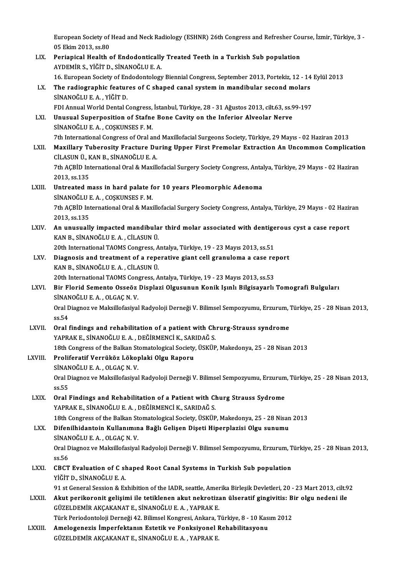European Society of Head and Neck Radiology (ESHNR) 26th Congress and Refresher Course, İzmir, Türkiye, 3 -<br>05 Elsim 2012, ss 80 European Society of<br>05 Ekim 2013, ss.80<br>Porianiaal Hoalth European Society of Head and Neck Radiology (ESHNR) 26th Congress and Refresher Court of Endodontical y Treated Teeth in a Turkish Sub population<br>LIX. Periapical Health of Endodontically Treated Teeth in a Turkish Sub popu

05 Ekim 2013, ss.80<br>LIX. Periapical Health of Endodontically Treated Teeth in a Turkish Sub population<br>AYDEMİR S., YİĞİT D., SİNANOĞLU E. A. 16. European Society of Endodontology Biennial Congress, September 2013, Portekiz, 12 - 14 Eylül 2013 AYDEMİR S., YİĞİT D., SİNANOĞLU E. A.<br>16. European Society of Endodontology Biennial Congress, September 2013, Portekiz, 12 - 14<br>LX. The radiographic features of C shaped canal system in mandibular second molars<br>SİNANO SİNANOĞLU E. A. , YİĞİT D.<br>FDI Annual World Dental Congress, İstanbul, Türkiye, 28 - 31 Ağustos 2013, cilt.63, ss.99-197 The radiographic features of C shaped canal system in mandibular second molars<br>SİNANOĞLU E. A. , YİĞİT D.<br>FDI Annual World Dental Congress, İstanbul, Türkiye, 28 - 31 Ağustos 2013, cilt.63, ss.99-197<br>Unusual Sunarnasitian SİNANOĞLU E. A. , YİĞİT D.<br>FDI Annual World Dental Congress, İstanbul, Türkiye, 28 - 31 Ağustos 2013, cilt.63, ss.9<br>LXI. Unusual Superposition of Stafne Bone Cavity on the Inferior Alveolar Nerve<br>SİNANOĞLU E.A. COSKUNS FDI Annual World Dental Congress,<br>Unusual Superposition of Stafne<br>SİNANOĞLU E.A., COŞKUNSES F.M.<br><sup>7th International Congrees of Oral o</sup> SİNANOĞLU E. A. , COŞKUNSES F. M.<br>7th International Congress of Oral and Maxillofacial Surgeons Society, Türkiye, 29 Mayıs - 02 Haziran 2013 LXII. Maxillary Tuberosity Fracture During Upper First Premolar Extraction An Uncommon Complication CİLASUNÜ.,KANB.,SİNANOĞLUE.A. Maxillary Tuberosity Fracture During Upper First Premolar Extraction An Uncommon Complicatio<br>CiLASUN Ü., KAN B., SİNANOĞLU E. A.<br>7th AÇBİD International Oral & Maxillofacial Surgery Society Congress, Antalya, Türkiye, 29 M CİLASUN Ü., F<br>7th AÇBİD Int<br>2013, ss.135<br>Untreated m Th AÇBİD International Oral & Maxillofacial Surgery Society Congress, Anta:<br>2013, ss.135<br>LXIII. Untreated mass in hard palate for 10 years Pleomorphic Adenoma<br>5 SINANOČIJUE A COSYUNSES E M 2013, ss.135<br>Untreated mass in hard palate for 10 years Pleomorphic Adenoma 7th AÇBİD International Oral & Maxillofacial Surgery Society Congress, Antalya, Türkiye, 29 Mayıs - 02 Haziran<br>2013, ss.135 SINANOĞLU E.A., COŞKUNSES F.M. Th AÇBİD International Oral & Maxillofacial Surgery Society Congress, Antalya, Türkiye, 29 Mayıs - 02 Hazir<br>2013, ss.135<br>LXIV. An unusually impacted mandibular third molar associated with dentigerous cyst a case report 2013, ss.135<br>An unusually impacted mandibula<br>KAN B., SİNANOĞLU E. A. , CİLASUN Ü.<br>20th International TAOMS Consress. A An unusually impacted mandibular third molar associated with dentige<br>KAN B., SİNANOĞLU E.A. , CİLASUN Ü.<br>20th International TAOMS Congress, Antalya, Türkiye, 19 - 23 Mayıs 2013, ss.51<br>Diagnosis and treatment of a reperativ KAN B., SİNANOĞLU E. A. , CİLASUN Ü.<br>20th International TAOMS Congress, Antalya, Türkiye, 19 - 23 Mayıs 2013, ss.51<br>20th Diagnosis and treatment of a reperative giant cell granuloma a case report<br>20 M P. SİNANOĞLU E. A. Cİ 20th International TAOMS Congress, A<br>Diagnosis and treatment of a repe<br>KAN B., SİNANOĞLU E. A. , CİLASUN Ü.<br>20th International TAOMS Congress, A Diagnosis and treatment of a reperative giant cell granuloma a case re<br>KAN B., SİNANOĞLU E. A. , CİLASUN Ü.<br>20th International TAOMS Congress, Antalya, Türkiye, 19 - 23 Mayıs 2013, ss.53<br>Bir Elerid Semente Osseğr Displari KAN B., SİNANOĞLU E. A. , CİLASUN Ü.<br>20th International TAOMS Congress, Antalya, Türkiye, 19 - 23 Mayıs 2013, ss.53<br>LXVI. Bir Florid Semento Osseöz Displazi Olgusunun Konik Işınlı Bilgisayarlı Tomografi Bulguları 20th International TAOMS Cons<br>Bir Florid Semento Osseöz<br>SİNANOĞLU E.A. , OLGAÇ N. V.<br>Oral Diagnaz ve Maksilləfəsiyal Oral Diagnoz ve Maksillofasiyal Radyoloji Derneği V. Bilimsel Sempozyumu, Erzurum, Türkiye, 25 - 28 Nisan 2013,<br>ss.54 SİNANOĞLU E.A., OLGAÇ N.V. Oral Diagnoz ve Maksillofasiyal Radyoloji Derneği V. Bilimsel Sempozyumu, Erzurum,<br>ss.54<br>LXVII. Oral findings and rehabilitation of a patient with Chrurg-Strauss syndrome<br>NAPPAK E. SİNANOĞLUE A. DEĞİPMENCİ K. SARIDAĞ S. ss.54<br>Oral findings and rehabilitation of a patient with Ch<br>YAPRAK E., SİNANOĞLU E. A. , DEĞİRMENCİ K., SARIDAĞ S.<br>19th Congress of the Palisan Sterratelegisel Sesisty üsvün 19thCongress of the Balkan Stomatological Society, ÜSKÜP, Makedonya, 25 - 28 Nisan 2013<br>18th Congress of the Balkan Stomatological Society, ÜSKÜP, Makedonya, 25 - 28 Nisan 2013 YAPRAK E., SİNANOĞLU E. A. , DEĞİRMENCİ K., SAR<br>18th Congress of the Balkan Stomatological Society<br>LXVIII. Proliferatif Verrüköz Lökoplaki Olgu Raporu<br>5 SINANOĞLU E.A., OLGAG N. Y. 18th Congress of the Balkan St<br>Proliferatif Verrüköz Lökop<br>SİNANOĞLU E.A., OLGAÇ N.V.<br>Oral Diagner ve Makallafasiyal Proliferatif Verrüköz Lökoplaki Olgu Raporu<br>SİNANOĞLU E. A. , OLGAÇ N. V.<br>Oral Diagnoz ve Maksillofasiyal Radyoloji Derneği V. Bilimsel Sempozyumu, Erzurum, Türkiye, 25 - 28 Nisan 2013, SINAN<br>Oral D<br>ss.55<br>Oral L Oral Diagnoz ve Maksillofasiyal Radyoloji Derneği V. Bilimsel Sempozyumu, Erzurum<br>ss.55<br>LXIX. Oral Findings and Rehabilitation of a Patient with Churg Strauss Sydrome<br>xAPPAKE SINANOČUUE A DEČIPMENCLK SAPIDAČS ss.55<br>Oral Findings and Rehabilitation of a Patient with Churg Strauss Sydrome<br>YAPRAK E., SİNANOĞLU E. A. , DEĞİRMENCİ K., SARIDAĞ S. 18th Congress of the Balkan Stomatological Society, ÜSKÜP, Makedonya, 25 - 28 Nisan 2013 LXX. Difenilhidantoin Kullanımına Bağlı Gelişen Dişeti Hiperplazisi Olgu sunumu 18th Congress of the Balkan St<br>Difenilhidantoin Kullanımın<br>SİNANOĞLU E.A., OLGAÇ N.V.<br>Oral Diagnaz ve Maksilləfəsiyal Oral Diagnoz ve Maksillofasiyal Radyoloji Derneği V. Bilimsel Sempozyumu, Erzurum, Türkiye, 25 - 28 Nisan 2013,<br>ss.56 SINAN<br>Oral L<br>ss.56<br>CRCT Oral Diagnoz ve Maksillofasiyal Radyoloji Derneği V. Bilimsel Sempozyumu, Erzurum, T<br>ss.56<br>LXXI. CBCT Evaluation of C shaped Root Canal Systems in Turkish Sub population<br>vičinn sinANQČLU E A ss.56<br>CBCT Evaluation of C sl<br>YİĞİT D., SİNANOĞLU E. A.<br>91 st Canaral Sassian & Eu YİĞİT D., SİNANOĞLU E. A.<br>91 st General Session & Exhibition of the IADR, seattle, Amerika Birleşik Devletleri, 20 - 23 Mart 2013, cilt.92 YİĞİT D., SİNANOĞLU E. A.<br>191 st General Session & Exhibition of the IADR, seattle, Amerika Birleşik Devletleri, 20 - 23 Mart 2013, cilt<br>19 EXXII. Akut perikoronit gelişimi ile tetiklenen akut nekrotizan ülseratif gingivit 91 st General Session & Exhibition of the IADR, seattle, Amer<br>Akut perikoronit gelişimi ile tetiklenen akut nekrotiza<br>GÜZELDEMİR AKÇAKANAT E., SİNANOĞLU E. A. , YAPRAK E.<br>Türk Periodenteleji Derneği 42, Bilimsel Kongresi, Akut perikoronit gelişimi ile tetiklenen akut nekrotizan ülseratif gingivitis: B<br>GÜZELDEMİR AKÇAKANAT E., SİNANOĞLU E. A. , YAPRAK E.<br>Türk Periodontoloji Derneği 42. Bilimsel Kongresi, Ankara, Türkiye, 8 - 10 Kasım 2012<br>Am GÜZELDEMİR AKÇAKANAT E., SİNANOĞLU E. A. , YAPRAK E.<br>Türk Periodontoloji Derneği 42. Bilimsel Kongresi, Ankara, Türkiye, 8 - 10 Kası<br>LXXIII. Amelogenezis İmperfektanın Estetik ve Fonksiyonel Rehabilitasyonu Türk Periodontoloji Derneği 42. Bilimsel Kongresi, Ankara, 1<br><mark>Amelogenezis İmperfektanın Estetik ve Fonksiyonel I</mark><br>GÜZELDEMİR AKÇAKANAT E., SİNANOĞLU E. A. , YAPRAK E.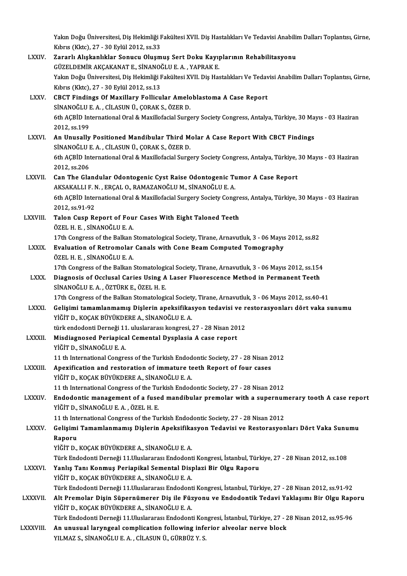Yakın Doğu Üniversitesi, Diş Hekimliği Fakültesi XVII. Diş Hastalıkları Ve Tedavisi Anabilim Dalları Toplantısı, Girne,<br>Kıbrıs (Kite), 27, -30 Erlijl 2012, 92,32 Yakın Doğu Üniversitesi, Diş Hekimliği I<br>Kıbrıs (Kktc), 27 - 30 Eylül 2012, ss.33<br>Zananlı Aliskanlıklar Sanusu Olusm Yakın Doğu Üniversitesi, Diş Hekimliği Fakültesi XVII. Diş Hastalıkları Ve Tedavisi Anabili<br>Kıbrıs (Kktc), 27 - 30 Eylül 2012, ss.33<br>LXXIV. — Zararlı Alışkanlıklar Sonucu Oluşmuş Sert Doku Kayıplarının Rehabilitasyonu Kıbrıs (Kktc), 27 - 30 Eylül 2012, ss.33<br>Zararlı Alışkanlıklar Sonucu Olusmus Sert Doku Kayıplarının Rehabilitasyonu Yakın Doğu Üniversitesi, Diş Hekimliği Fakültesi XVII. Diş Hastalıkları Ve Tedavisi Anabilim Dalları Toplantısı, Girne,<br>Kıbrıs (Kktc), 27 - 30 Eylül 2012, ss.13 GÜZELDEMİR AKÇAKANAT E., SİNANOĞLU E. A., YAPRAK E. Yakın Doğu Üniversitesi, Diş Hekimliği Fakültesi XVII. Diş Hastalıkları Ve Tedav<br>Kıbrıs (Kktc), 27 - 30 Eylül 2012, ss.13<br>LXXV. CBCT Findings Of Maxillary Follicular Ameloblastoma A Case Report<br>SİNANOČLU E A - CİLASIN Ü, C Kıbrıs (Kktc), 27 - 30 Eylül 2012, ss.13<br>CBCT Findings Of Maxillary Follicular Amelo<br>SİNANOĞLU E. A. , CİLASUN Ü., ÇORAK S., ÖZER D.<br>6th ACPID International Oral & Maxillefacial Surge CBCT Findings Of Maxillary Follicular Ameloblastoma A Case Report<br>SİNANOĞLU E. A. , CİLASUN Ü., ÇORAK S., ÖZER D.<br>6th AÇBİD International Oral & Maxillofacial Surgery Society Congress, Antalya, Türkiye, 30 Mayıs - 03 Hazir SİNANOĞLU I<br>6th AÇBİD Int<br>2012, ss.199<br>An Unusally 6th AÇBİD International Oral & Maxillofacial Surgery Society Congress, Antalya, Türkiye, 30 Ma<br>2012, ss.199<br>LXXVI. An Unusally Positioned Mandibular Third Molar A Case Report With CBCT Findings<br>3 SINANOČU U.E.A. CU ASUN Ü. 2012, ss.199<br>An Unusally Positioned Mandibular Third M<br>SİNANOĞLU E. A. , CİLASUN Ü., ÇORAK S., ÖZER D.<br>6th ACPID International Oral & Maxillefacial Surga An Unusally Positioned Mandibular Third Molar A Case Report With CBCT Findings<br>SİNANOĞLU E. A. , CİLASUN Ü., ÇORAK S., ÖZER D.<br>6th AÇBİD International Oral & Maxillofacial Surgery Society Congress, Antalya, Türkiye, 30 May SİNANOĞLU I<br>6th AÇBİD Int<br>2012, ss.206<br>Can The Cla 6th AÇBİD International Oral & Maxillofacial Surgery Society Congress, Antalya, Türkiye,<br>2012, ss.206<br>LXXVII. Can The Glandular Odontogenic Cyst Raise Odontogenic Tumor A Case Report 2012, ss.206<br>Can The Glandular Odontogenic Cyst Raise Odontogenic Tu<br>AKSAKALLI F. N. , ERÇAL O., RAMAZANOĞLU M., SİNANOĞLU E. A.<br>6th ACPID International Oral & Mexillefacial Surgery Society Cong 6th AÇBİD International Oral & Maxillofacial Surgery Society Congress, Antalya, Türkiye, 30 Mayıs - 03 Haziran<br>2012. ss.91-92 AKSAKALLI F. N., ERÇAL O., RAMAZANOĞLU M., SİNANOĞLU E. A. 6th AÇBİD International Oral & Maxillofacial Surgery Society Congre<br>2012, ss.91-92<br>LXXVIII. Talon Cusp Report of Four Cases With Eight Taloned Teeth<br>ÖZEL H.E. SİNANOĞLUE A 2012, ss.91-92<br>Talon Cusp Report of Fou<br>ÖZEL H. E. , SİNANOĞLU E. A.<br>17th Congress of the Bellian Talon Cusp Report of Four Cases With Eight Taloned Teeth<br>ÖZEL H. E. , SİNANOĞLU E. A.<br>17th Congress of the Balkan Stomatological Society, Tirane, Arnavutluk, 3 - 06 Mayıs 2012, ss.82<br>Evaluation of Petromalar Canals with Ca ÖZEL H. E. , SİNANOĞLU E. A.<br>17th Congress of the Balkan Stomatological Society, Tirane, Arnavutluk, 3 - 06 Mayıs<br>LXXIX. Evaluation of Retromolar Canals with Cone Beam Computed Tomography<br>ÖZEL H. E. , SİNANOĞLU E. A. 17th Congress of the Balkan :<br>**Evaluation of Retromolar**<br>ÖZEL H. E. , SİNANOĞLU E. A.<br>17th Congress of the Balkan : Evaluation of Retromolar Canals with Cone Beam Computed Tomography<br>ÖZEL H. E. , SİNANOĞLU E. A.<br>17th Congress of the Balkan Stomatological Society, Tirane, Arnavutluk, 3 - 06 Mayıs 2012, ss.154<br>Diagnosis of Osslusal Caries ÖZEL H. E. , SİNANOĞLU E. A.<br>17th Congress of the Balkan Stomatological Society, Tirane, Arnavutluk, 3 - 06 Mayıs 2012, ss.154<br>LXXX. Diagnosis of Occlusal Caries Using A Laser Fluorescence Method in Permanent Teeth<br>5 17th Congress of the Balkan Stomatologi<br>Diagnosis of Occlusal Caries Using A<br>SİNANOĞLU E.A., ÖZTÜRK E., ÖZEL H.E. Diagnosis of Occlusal Caries Using A Laser Fluorescence Method in Permanent Teeth<br>SİNANOĞLU E. A. , ÖZTÜRK E., ÖZEL H. E.<br>17th Congress of the Balkan Stomatological Society, Tirane, Arnavutluk, 3 - 06 Mayıs 2012, ss.40-41 SİNANOĞLU E. A. , ÖZTÜRK E., ÖZEL H. E.<br>17th Congress of the Balkan Stomatological Society, Tirane, Arnavutluk, 3 - 06 Mayıs 2012, ss.40-41<br>17th Congress of the Balkan Stomatological Society, Tirane, Arnavutluk, 3 - 06 May YİĞİT D., KOÇAK BÜYÜKDERE A., SİNANOĞLU E. A. Gelişimi tamamlanmamış Dişlerin apeksifikasyon tedavisi ve r<br>YİĞİT D., KOÇAK BÜYÜKDERE A., SİNANOĞLU E. A.<br>türk endodonti Derneği 11. uluslararası kongresi, 27 - 28 Nisan 2012<br>Miadiagnasad Perianisal Camantal Dyaplasia A.9 LXXXII. Misdiagnosed Periapical Cemental Dysplasia A case report<br>YIĞİT D., SİNANOĞLU E. A. türk endodonti Derneği 11. uluslararası kongresi, 27 - 28 Nisan 2012 11 th International Congress of the Turkish Endodontic Society, 27 - 28 Nisan 2012 YIĞİT D., SİNANOĞLU E. A.<br>11 th International Congress of the Turkish Endodontic Society, 27 - 28 Nisan 2<br>LXXXIII. Apexification and restoration of immature teeth Report of four cases<br>vičin D. KOCAK PÜVÜKDERE A. SİNANOĞLU YİĞİT D., KOÇAK BÜYÜKDERE A., SİNANOĞLU E. A.<br>11 th International Congress of the Turkish Endodontic Society. 27 - 28 Nisan 2012 Apexification and restoration of immature teeth Report of four cases<br>YlĞİT D., KOÇAK BÜYÜKDERE A., SİNANOĞLU E. A.<br>11 th International Congress of the Turkish Endodontic Society, 27 - 28 Nisan 2012<br>Endodontic management of YİĞİT D., KOÇAK BÜYÜKDERE A., SİNANOĞLU E. A.<br>11 th International Congress of the Turkish Endodontic Society, 27 - 28 Nisan 2012<br>LXXXIV. Endodontic management of a fused mandibular premolar with a supernumerary tooth A YİĞİTD.,SİNANOĞLUE.A. ,ÖZELH.E. Endodontic management of a fused mandibular premolar with a supernun<br>YİĞİT D., SİNANOĞLU E. A. , ÖZEL H. E.<br>11 th International Congress of the Turkish Endodontic Society, 27 - 28 Nisan 2012<br>Colisimi Tamamlanmamır Dislarin YİĞİT D., SİNANOĞLU E. A. , ÖZEL H. E.<br>11 th International Congress of the Turkish Endodontic Society, 27 - 28 Nisan 2012<br>LXXXV. Gelişimi Tamamlanmamış Dişlerin Apeksifikasyon Tedavisi ve Restorasyonları Dört Vaka Sunu 11 th International Congress of the Turkish Endodontic Society, 27 - 28 Nisan 2012<br>Gelişimi Tamamlanmamış Dişlerin Apeksifikasyon Tedavisi ve Restorasyon<br>Raporu<br>YİĞİT D., KOÇAK BÜYÜKDERE A., SİNANOĞLU E. A. Gelişimi Tamamlanmamış Dişlerin Apeksifika<br>Raporu<br>YİĞİT D., KOÇAK BÜYÜKDERE A., SİNANOĞLU E. A.<br>Türk Endedenti Derneği 11 Uluslanarası Endedent Raporu<br>YİĞİT D., KOÇAK BÜYÜKDERE A., SİNANOĞLU E. A.<br>Türk Endodonti Derneği 11.Uluslararası Endodonti Kongresi, İstanbul, Türkiye, 27 - 28 Nisan 2012, ss.108<br>Yanlış Tanı Konmus Borianikal Semantal Displegi Bir Olsu Bananu YİĞİT D., KOÇAK BÜYÜKDERE A., SİNANOĞLU E. A.<br>Türk Endodonti Derneği 11.Uluslararası Endodonti Kongresi, İstanbul, Türk<br>LXXXVI. Yanlış Tanı Konmuş Periapikal Semental Displazi Bir Olgu Raporu<br>VİĞİT D. KOÇAK BÜYÜKDERE A Türk Endodonti Derneği 11.Uluslararası Endodont<br>Yanlış Tanı Konmuş Periapikal Semental Disj<br>YİĞİT D., KOÇAK BÜYÜKDERE A., SİNANOĞLU E. A.<br>Türk Endodonti Derneği 11 Uluslararası Endodont Yanlış Tanı Konmuş Periapikal Semental Displazi Bir Olgu Raporu<br>YİĞİT D., KOÇAK BÜYÜKDERE A., SİNANOĞLU E. A.<br>Türk Endodonti Derneği 11.Uluslararası Endodonti Kongresi, İstanbul, Türkiye, 27 - 28 Nisan 2012, ss.91-92 YİĞİT D., KOÇAK BÜYÜKDERE A., SİNANOĞLU E. A.<br>Türk Endodonti Derneği 11.Uluslararası Endodonti Kongresi, İstanbul, Türkiye, 27 - 28 Nisan 2012, ss.91-92<br>LXXXVII. Alt Premolar Dişin Süpernümerer Diş ile Füzyonu ve Endod Türk Endodonti Derneği 11.Uluslararası Endodont<br>Alt Premolar Dişin Süpernümerer Diş ile Füz<br>YİĞİT D., KOÇAK BÜYÜKDERE A., SİNANOĞLU E. A.<br>Türk Endodonti Derneği 11 Uluslararası Endodont Alt Premolar Dişin Süpernümerer Diş ile Füzyonu ve Endodontik Tedavi Yaklaşımı Bir Olgu Rapo<br>YİĞİT D., KOÇAK BÜYÜKDERE A., SİNANOĞLU E. A.<br>Türk Endodonti Derneği 11.Uluslararası Endodonti Kongresi, İstanbul, Türkiye, 27 - YİĞİT D., KOÇAK BÜYÜKDERE A., SİNANOĞLU E. A.<br>1. Türk Endodonti Derneği 11.Uluslararası Endodonti Kongresi, İstanbul, Türkiye, 27 - 2<br>1. LXXXVIII. An unusual laryngeal complication following inferior alveolar nerve blo Türk Endodonti Derneği 11.Uluslararası Endodonti Kor<br><mark>An unusual laryngeal complication following infe</mark><br>YILMAZ S., SİNANOĞLU E. A. , CİLASUN Ü., GÜRBÜZ Y. S.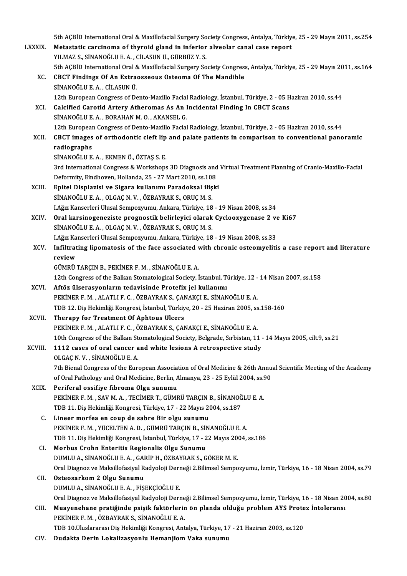5th AÇBİD International Oral & Maxillofacial Surgery Society Congress, Antalya, Türkiye, 25 - 29 Mayıs 2011, ss.254<br>Matastatis sansineme ef thuneid gland in inferier alysolar sanal sase renert

|                | 5th AÇBİD International Oral & Maxillofacial Surgery Society Congress, Antalya, Türkiye, 25 - 29 Mayıs 2011, ss.254                                                                                         |
|----------------|-------------------------------------------------------------------------------------------------------------------------------------------------------------------------------------------------------------|
| LXXXIX.        | Metastatic carcinoma of thyroid gland in inferior alveolar canal case report                                                                                                                                |
|                | YILMAZ S., SİNANOĞLU E. A., CİLASUN Ü., GÜRBÜZ Y. S.                                                                                                                                                        |
|                | 5th AÇBİD International Oral & Maxillofacial Surgery Society Congress, Antalya, Türkiye, 25 - 29 Mayıs 2011, ss.164                                                                                         |
| XC.            | <b>CBCT Findings Of An Extraosseous Osteoma Of The Mandible</b>                                                                                                                                             |
|                | SİNANOĞLU E.A., CİLASUN Ü.                                                                                                                                                                                  |
|                | 12th European Congress of Dento-Maxillo Facial Radiology, İstanbul, Türkiye, 2 - 05 Haziran 2010, ss.44                                                                                                     |
| XCI.           | Calcified Carotid Artery Atheromas As An Incidental Finding In CBCT Scans                                                                                                                                   |
|                | SİNANOĞLU E. A., BORAHAN M. O., AKANSEL G.                                                                                                                                                                  |
| XCII.          | 12th European Congress of Dento-Maxillo Facial Radiology, İstanbul, Türkiye, 2 - 05 Haziran 2010, ss.44<br>CBCT images of orthodontic cleft lip and palate patients in comparison to conventional panoramic |
|                | radiographs                                                                                                                                                                                                 |
|                | SİNANOĞLU E.A., EKMEN Ö., ÖZTAŞ S.E.                                                                                                                                                                        |
|                | 3rd International Congress & Workshops 3D Diagnosis and Virtual Treatment Planning of Cranio-Maxillo-Facial                                                                                                 |
|                | Deformity, Eindhoven, Hollanda, 25 - 27 Mart 2010, ss.108                                                                                                                                                   |
| XCIII.         | Epitel Displazisi ve Sigara kullanımı Paradoksal ilişki                                                                                                                                                     |
|                | SİNANOĞLU E. A., OLGAÇ N. V., ÖZBAYRAK S., ORUÇ M. S.                                                                                                                                                       |
|                | I.Ağız Kanserleri Ulusal Sempozyumu, Ankara, Türkiye, 18 - 19 Nisan 2008, ss.34                                                                                                                             |
| XCIV.          | Oral karsinogeneziste prognostik belirleyici olarak Cyclooxygenase 2 ve Ki67                                                                                                                                |
|                | SİNANOĞLU E. A., OLGAÇ N. V., ÖZBAYRAK S., ORUÇ M. S.                                                                                                                                                       |
|                | I.Ağız Kanserleri Ulusal Sempozyumu, Ankara, Türkiye, 18 - 19 Nisan 2008, ss.33                                                                                                                             |
| XCV.           | Infiltrating lipomatosis of the face associated with chronic osteomyelitis a case report and literature                                                                                                     |
|                | review                                                                                                                                                                                                      |
|                | GÜMRÜ TARÇIN B., PEKİNER F. M., SİNANOĞLU E. A.                                                                                                                                                             |
|                | 12th Congress of the Balkan Stomatological Society, İstanbul, Türkiye, 12 - 14 Nisan 2007, ss.158                                                                                                           |
| XCVI.          | Aftöz ülserasyonların tedavisinde Protefix jel kullanımı                                                                                                                                                    |
|                | PEKİNER F. M., ALATLI F. C., ÖZBAYRAK S., ÇANAKÇI E., SİNANOĞLU E. A.                                                                                                                                       |
|                | TDB 12. Diş Hekimliği Kongresi, İstanbul, Türkiye, 20 - 25 Haziran 2005, ss.158-160                                                                                                                         |
| XCVII.         | Therapy for Treatment Of Aphtous Ulcers                                                                                                                                                                     |
|                | PEKİNER F. M., ALATLI F. C., ÖZBAYRAK S., ÇANAKÇI E., SİNANOĞLU E. A.<br>10th Congress of the Balkan Stomatological Society, Belgrade, Sırbistan, 11 - 14 Mayıs 2005, cilt.9, ss.21                         |
| XCVIII.        | 1112 cases of oral cancer and white lesions A retrospective study                                                                                                                                           |
|                | OLGAÇ N.V., SİNANOĞLU E. A.                                                                                                                                                                                 |
|                | 7th Bienal Congress of the European Association of Oral Medicine & 26th Annual Scientific Meeting of the Academy                                                                                            |
|                | of Oral Pathology and Oral Medicine, Berlin, Almanya, 23 - 25 Eylül 2004, ss.90                                                                                                                             |
| XCIX.          | Periferal ossifiye fibroma Olgu sunumu                                                                                                                                                                      |
|                | PEKİNER F. M., SAV M. A., TECİMER T., GÜMRÜ TARÇIN B., SİNANOĞLU E. A.                                                                                                                                      |
|                | TDB 11. Diş Hekimliği Kongresi, Türkiye, 17 - 22 Mayıs 2004, ss.187                                                                                                                                         |
| C.             | Lineer morfea en coup de sabre Bir olgu sunumu                                                                                                                                                              |
|                | PEKİNER F. M., YÜCELTEN A. D., GÜMRÜ TARÇIN B., SİNANOĞLU E. A.                                                                                                                                             |
|                | TDB 11. Diş Hekimliği Kongresi, İstanbul, Türkiye, 17 - 22 Mayıs 2004, ss.186                                                                                                                               |
| CI.            | Morbus Crohn Enteritis Regionalis Olgu Sunumu                                                                                                                                                               |
|                | DUMLU A., SİNANOĞLU E. A., GARİP H., ÖZBAYRAK S., GÖKER M. K.                                                                                                                                               |
|                | Oral Diagnoz ve Maksillofasiyal Radyoloji Derneği 2.Bilimsel Sempozyumu, İzmir, Türkiye, 16 - 18 Nisan 2004, ss.79                                                                                          |
| CII.           | Osteosarkom 2 Olgu Sunumu                                                                                                                                                                                   |
|                | DUMLU A., SİNANOĞLU E. A., FİŞEKÇİOĞLU E.                                                                                                                                                                   |
|                | Oral Diagnoz ve Maksillofasiyal Radyoloji Derneği 2.Bilimsel Sempozyumu, İzmir, Türkiye, 16 - 18 Nisan 2004, ss.80                                                                                          |
| CIII.          | Muayenehane pratiğinde psişik faktörlerin ön planda olduğu problem AYS Protez İntoleransı                                                                                                                   |
|                | PEKİNER F. M., ÖZBAYRAK S., SİNANOĞLU E. A.                                                                                                                                                                 |
| $\epsilon$ ity | TDB 10.Uluslararası Diş Hekimliği Kongresi, Antalya, Türkiye, 17 - 21 Haziran 2003, ss.120<br>Dudelte Derin Lekslinseyerly Hemanijam Velze sunumu                                                           |

CIV. Dudakta Derin Lokalizasyonlu Hemanjiom Vaka sunumu